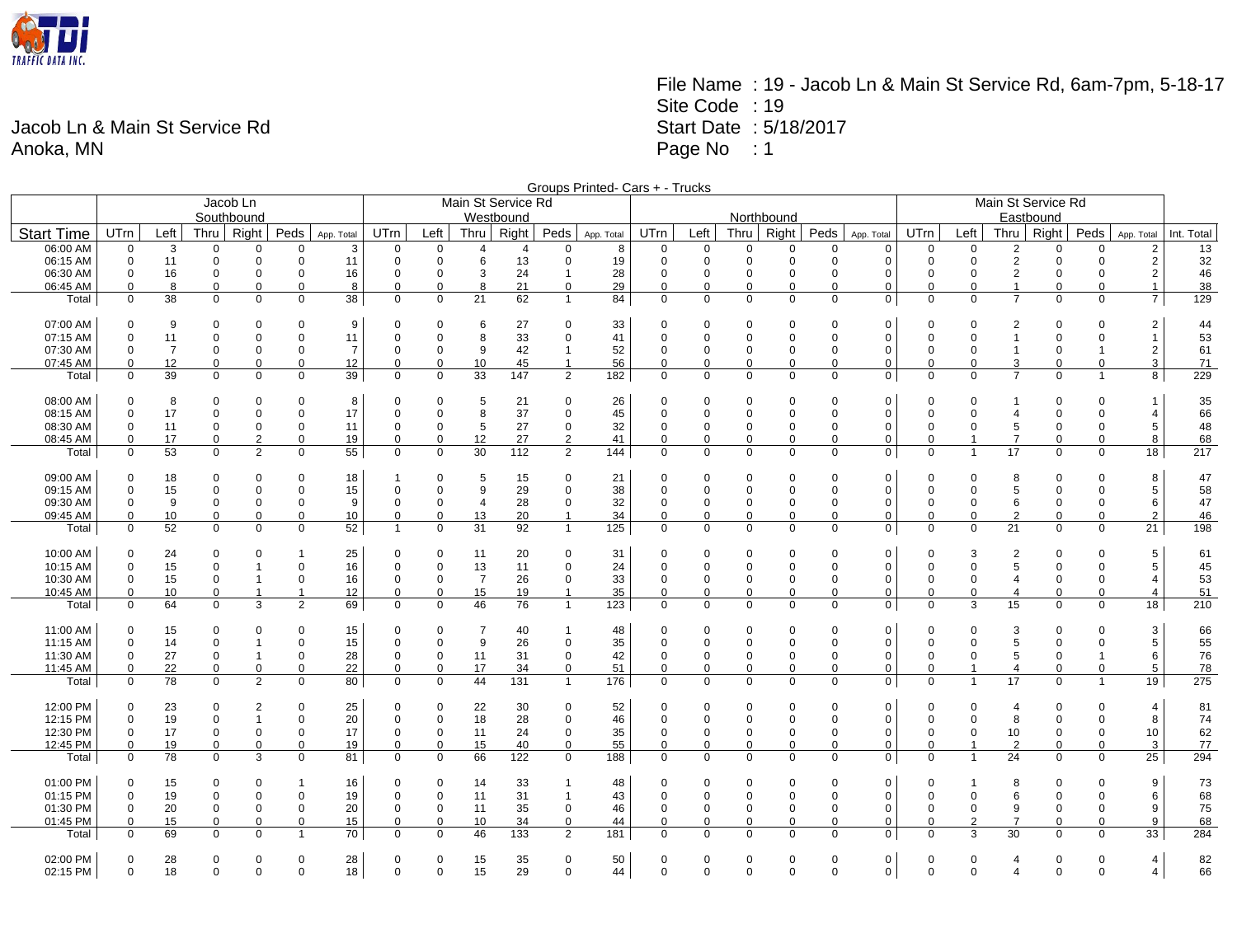

## File Name : 19 - Jacob Ln & Main St Service Rd, 6am-7pm, 5-18-17 Site Code : 19 Start Date : 5/18/2017 Page No : 1

Jacob Ln & Main St Service Rd Anoka, MN

| Main St Service Rd<br>Jacob Ln<br>Southbound<br>Westbound<br>Northbound<br>Eastbound<br>Right<br>Peds<br>Right<br><b>UTrn</b><br><b>Thru</b><br><b>UTrn</b><br>Left<br>Thru<br>Right<br>Peds<br><b>UTrn</b><br>Left<br>Thru<br>Peds<br>UTrn<br>Left<br>Right<br>Peds<br>Int. Total<br><b>Start Time</b><br>Left<br>Thru I<br>App. Total<br>App. Total<br>App. Total<br>App. Total<br>06:00 AM<br>13<br>3<br>$\Omega$<br>$\overline{2}$<br>$\mathbf 0$<br>$\overline{0}$<br>$\Omega$<br>$\Omega$<br>3<br>$\Omega$<br>$\boldsymbol{\Delta}$<br>8<br>$\mathbf 0$<br>$\Omega$<br>$\Omega$<br>0<br>$\mathbf 0$<br>$\Omega$<br>$\Omega$<br>$\Omega$<br>$\overline{2}$<br>$\Omega$<br>$\Omega$<br>$\Omega$<br>4<br>$\overline{2}$<br>06:15 AM<br>13<br>$\overline{2}$<br>32<br>$\mathbf 0$<br>$\mathbf 0$<br>$\Omega$<br>11<br>$\Omega$<br>$\mathbf 0$<br>6<br>$\Omega$<br>19<br>$\mathbf 0$<br>$\mathbf 0$<br>$\Omega$<br>0<br>$\mathbf 0$<br>$\Omega$<br>$\mathbf 0$<br>$\mathbf 0$<br>$\Omega$<br>11<br>$\Omega$<br>$\Omega$<br>$\sqrt{2}$<br>24<br>$\overline{2}$<br>46<br>06:30 AM<br>$\mathbf 0$<br>16<br>$\mathbf 0$<br>$\mathbf 0$<br>16<br>$\mathbf 0$<br>3<br>28<br>$\mathbf 0$<br>$\mathbf 0$<br>$\mathbf 0$<br>0<br>$\mathbf 0$<br>$\mathbf 0$<br>$\mathbf 0$<br>$\mathbf 0$<br>$\Omega$<br>0<br>0<br>$\mathbf{1}$<br>0<br>8<br>$\mathbf 0$<br>21<br>$\mathbf 0$<br>29<br>$\mathbf 0$<br>0<br>0<br>$\mathbf 0$<br>$\mathbf{1}$<br>38<br>06:45 AM<br>$\mathbf 0$<br>$\mathbf 0$<br>$\Omega$<br>8<br>$\Omega$<br>0<br>8<br>0<br>$\Omega$<br>$\mathbf 0$<br>$\Omega$<br>$\mathbf{1}$<br>$\Omega$<br>$\Omega$<br>$\overline{21}$<br>$\overline{7}$<br>$\overline{7}$<br>38<br>38<br>62<br>$\overline{0}$<br>129<br>$\Omega$<br>$\mathbf 0$<br>$\mathbf 0$<br>0<br>84<br>$\Omega$<br>$\Omega$<br>$\mathbf 0$<br>$\Omega$<br>0<br>$\mathbf 0$<br>$\Omega$<br>$\Omega$<br>$\Omega$<br>Total<br>$\mathbf 0$<br>$\Omega$<br>$\overline{1}$<br>07:00 AM<br>9<br>33<br>$\mathbf 0$<br>$\mathbf 0$<br>$\mathbf 0$<br>0<br>9<br>$\Omega$<br>$\Omega$<br>6<br>27<br>$\Omega$<br>0<br>$\Omega$<br>0<br>0<br>0<br>$\Omega$<br>2<br>$\Omega$<br>$\Omega$<br>$\overline{2}$<br>44<br>$\Omega$<br>$\Omega$<br>33<br>53<br>07:15 AM<br>$\mathbf 0$<br>11<br>$\overline{0}$<br>$\Omega$<br>$\mathbf 0$<br>11<br>$\Omega$<br>$\mathbf 0$<br>8<br>0<br>41<br>$\mathbf 0$<br>$\Omega$<br>$\Omega$<br>0<br>$\mathbf 0$<br>0<br>$\mathbf 0$<br>$\mathbf{1}$<br>$\Omega$<br>$\mathbf{1}$<br>$\Omega$<br>0<br>07:30 AM<br>$\overline{7}$<br>42<br>52<br>$\mathbf 0$<br>$\overline{2}$<br>61<br>$\mathbf 0$<br>$\mathbf 0$<br>$\mathbf 0$<br>$\mathbf 0$<br>$\overline{7}$<br>$\mathbf 0$<br>$\mathbf 0$<br>9<br>$\mathbf{1}$<br>$\mathbf 0$<br>$\Omega$<br>$\mathbf 0$<br>0<br>$\mathbf 0$<br>$\mathbf 0$<br>$\mathbf 0$<br>$\Omega$<br>$\mathbf{1}$<br>$\overline{1}$<br>12<br>$\mathbf 0$<br>0<br>12<br>10<br>$\mathbf 0$<br>$\mathbf 0$<br>0<br>$\mathbf 0$<br>3<br>$\overline{3}$<br>07:45 AM<br>$\mathbf 0$<br>0<br>$\mathbf 0$<br>$\mathbf 0$<br>45<br>$\overline{1}$<br>56<br>$\mathbf 0$<br>$\mathbf 0$<br>$\mathbf 0$<br>$\Omega$<br>$\mathbf 0$<br>$\mathbf 0$<br>71<br>$\overline{7}$<br>39<br>33<br>147<br>2<br>$\mathbf 0$<br>$\mathbf 0$<br>8<br>229<br>$\mathbf 0$<br>39<br>$\mathbf 0$<br>$\mathbf 0$<br>$\mathbf 0$<br>$\mathbf 0$<br>$\mathbf 0$<br>182<br>$\mathbf 0$<br>$\mathbf 0$<br>$\mathbf 0$<br>$\mathbf 0$<br>$\mathbf 0$<br>0<br>$\Omega$<br>$\overline{1}$<br>Total<br>08:00 AM<br>8<br>21<br>26<br>0<br>35<br>$\Omega$<br>$\Omega$<br>$\Omega$<br>8<br>$\Omega$<br>5<br>$\Omega$<br>$\Omega$<br>$\Omega$<br>$\Omega$<br>$\Omega$<br>$\mathbf 0$<br>$\Omega$<br>$\Omega$<br>$\Omega$<br>$\Omega$<br>$\Omega$<br>08:15 AM<br>$\Omega$<br>17<br>8<br>37<br>$\mathbf 0$<br>45<br>$\Omega$<br>$\mathbf 0$<br>0<br>$\mathbf 0$<br>66<br>$\mathbf 0$<br>$\Omega$<br>$\Omega$<br>17<br>$\Omega$<br>$\Omega$<br>$\Omega$<br>$\Omega$<br>$\Omega$<br>$\Omega$<br>$\Omega$<br>$\Omega$<br>$\overline{4}$<br>$\overline{4}$<br>27<br>$\sqrt{5}$<br>48<br>5<br>$\mathbf 0$<br>32<br>$\mathbf 0$<br>$\mathbf 0$<br>5<br>08:30 AM<br>0<br>11<br>0<br>$\mathbf 0$<br>0<br>11<br>0<br>0<br>$\mathbf 0$<br>$\mathbf 0$<br>0<br>0<br>0<br>$\Omega$<br>$\Omega$<br>0<br>19<br>$\pmb{0}$<br>12<br>27<br>$\overline{2}$<br>41<br>$\mathbf 0$<br>$\mathbf 0$<br>$\mathbf 0$<br>0<br>$\mathbf 0$<br>$\overline{7}$<br>8<br>68<br>08:45 AM<br>$\mathbf 0$<br>17<br>0<br>$\overline{2}$<br>0<br>0<br>0<br>0<br>$\mathbf 0$<br>0<br>1<br>53<br>$\mathbf 0$<br>2<br>55<br>30<br>112<br>2<br>144<br>$\mathbf 0$<br>$\mathbf 0$<br>$\Omega$<br>17<br>18<br>217<br>$\mathbf 0$<br>$\mathbf 0$<br>$\mathbf 0$<br>$\Omega$<br>$\Omega$<br>$\Omega$<br>0<br>$\overline{1}$<br>$\Omega$<br>$\Omega$<br>Total<br>$\Omega$<br>09:00 AM<br>47<br>0<br>18<br>18<br>5<br>15<br>$\mathbf 0$<br>21<br>0<br>$\Omega$<br>0<br>$\Omega$<br>8<br>0<br>$\Omega$<br>0<br>$\Omega$<br>0<br>$\Omega$<br>0<br>$\Omega$<br>8<br>$\Omega$<br>$\Omega$<br>09:15 AM<br>29<br>38<br>58<br>$\mathbf 0$<br>15<br>$\overline{0}$<br>$\Omega$<br>$\mathbf 0$<br>15<br>$\Omega$<br>$\Omega$<br>9<br>0<br>$\mathbf 0$<br>$\Omega$<br>$\Omega$<br>$\mathbf 0$<br>$\mathbf 0$<br>0<br>$\mathbf 0$<br>$\Omega$<br>5<br>$\Omega$<br>$\Omega$<br>5<br>6<br>47<br>09:30 AM<br>9<br>28<br>$\mathbf 0$<br>32<br>$\mathbf 0$<br>$\Omega$<br>0<br>$\Omega$<br>0<br>9<br>$\Omega$<br>$\mathbf 0$<br>$\overline{4}$<br>$\Omega$<br>$\Omega$<br>0<br>$\mathbf 0$<br>0<br>0<br>$\Omega$<br>6<br>$\Omega$<br>$\Omega$<br>10<br>$\mathbf 0$<br>$\Omega$<br>10<br>0<br>$\pmb{0}$<br>13<br>20<br>34<br>$\mathbf 0$<br>$\pmb{0}$<br>$\mathbf 0$<br>$\Omega$<br>0<br>$\mathbf 0$<br>$\overline{c}$<br>$\mathbf 0$<br>$\Omega$<br>$\overline{2}$<br>46<br>09:45 AM<br>$\mathbf 0$<br>$\mathbf 0$<br>$\overline{1}$<br>$\mathbf 0$<br>$\Omega$<br>$\overline{0}$<br>52<br>31<br>21<br>$\overline{21}$<br>198<br>52<br>92<br>$\mathbf{1}$<br>125<br>$\mathbf 0$<br>$\mathbf 0$<br>$\mathbf 0$<br>$\mathbf 0$<br>$\mathbf 0$<br>$\mathbf 0$<br>$\mathbf 0$<br>$\Omega$<br>0<br>$\Omega$<br>$\mathbf 0$<br>$\Omega$<br>Total<br>$\mathbf 0$<br>0<br>$\mathbf{1}$<br>10:00 AM<br>5<br>$\Omega$<br>24<br>25<br>11<br>20<br>$\Omega$<br>31<br>$\Omega$<br>$\Omega$<br>0<br>$\Omega$<br>0<br>$\Omega$<br>2<br>$\Omega$<br>$\Omega$<br>61<br>$\Omega$<br>$\Omega$<br>$\Omega$<br>$\Omega$<br>$\Omega$<br>3<br>10:15 AM<br>15<br>$\mathbf 0$<br>$\mathbf 0$<br>13<br>11<br>$\mathbf 0$<br>24<br>$\mathbf 0$<br>$\mathbf 0$<br>0<br>$\mathbf 0$<br>5<br>5<br>45<br>$\mathbf 0$<br>$\mathbf 0$<br>16<br>$\Omega$<br>$\Omega$<br>$\Omega$<br>$\mathbf 0$<br>$\Omega$<br>$\Omega$<br>$\Omega$<br>$\overline{7}$<br>26<br>$\mathbf 0$<br>33<br>$\mathbf 0$<br>53<br>10:30 AM<br>$\mathbf 0$<br>15<br>$\mathbf 0$<br>16<br>$\mathbf 0$<br>0<br>$\mathbf 0$<br>0<br>$\mathbf 0$<br>$\Omega$<br>$\overline{4}$<br>0<br>0<br>$\mathbf 0$<br>$\mathbf 0$<br>$\Omega$<br>4<br>0<br>51<br>10:45 AM<br>10<br>$\mathbf 0$<br>12<br>0<br>$\pmb{0}$<br>15<br>19<br>35<br>$\mathbf 0$<br>$\mathbf 0$<br>0<br>$\mathbf 0$<br>0<br>$\mathbf 0$<br>$\Omega$<br>$\mathbf 0$<br>$\mathbf 0$<br>$\mathbf 0$<br>$\mathbf{1}$<br>$\mathbf{1}$<br>$\Omega$<br>$\overline{4}$<br>4<br>64<br>3<br>$\overline{2}$<br>69<br>46<br>76<br>$\overline{1}$<br>$\mathbf 0$<br>0<br>15<br>18<br>210<br>$\mathbf 0$<br>$\mathbf 0$<br>0<br>$\mathbf 0$<br>123<br>$\mathbf 0$<br>$\Omega$<br>0<br>$\mathbf 0$<br>$\mathbf 0$<br>3<br>$\mathbf 0$<br>$\mathbf 0$<br>Total<br>3<br>11:00 AM<br>$\overline{7}$<br>66<br>$\mathbf 0$<br>15<br>$\mathbf 0$<br>$\Omega$<br>$\Omega$<br>15<br>0<br>40<br>48<br>0<br>$\mathbf 0$<br>$\Omega$<br>0<br>$\Omega$<br>0<br>$\mathbf 0$<br>$\Omega$<br>3<br>$\Omega$<br>$\Omega$<br>$\Omega$<br>$\mathbf{1}$<br>9<br>35<br>5<br>$\overline{5}$<br>55<br>11:15 AM<br>$\mathbf 0$<br>14<br>$\mathbf 0$<br>$\mathbf 0$<br>15<br>$\Omega$<br>$\mathbf 0$<br>26<br>$\mathbf 0$<br>$\mathbf 0$<br>$\Omega$<br>$\Omega$<br>$\mathbf 0$<br>$\mathbf 0$<br>0<br>$\mathbf 0$<br>$\Omega$<br>$\Omega$<br>$\Omega$<br>42<br>6<br>76<br>11:30 AM<br>27<br>$\mathbf 0$<br>28<br>0<br>11<br>31<br>$\mathbf 0$<br>$\mathbf 0$<br>$\mathbf 0$<br>0<br>$\mathbf 0$<br>5<br>$\mathbf 0$<br>0<br>$\mathbf 0$<br>$\mathbf 0$<br>0<br>0<br>0<br>$\mathbf 0$<br>-1<br>22<br>$\mathbf 0$<br>22<br>17<br>34<br>$\mathbf 0$<br>51<br>$\mathbf 0$<br>$\mathbf 0$<br>$\mathbf 0$<br>$\mathbf 0$<br>$\mathbf 0$<br>$\mathbf 0$<br>$\mathbf 0$<br>5<br>11:45 AM<br>$\mathbf 0$<br>$\mathbf 0$<br>$\mathbf 0$<br>$\mathbf 0$<br>$\mathbf 0$<br>$\mathbf 0$<br>$\overline{4}$<br>$\Omega$<br>$\overline{1}$<br>$\overline{2}$<br>80<br>44<br>131<br>$\frac{176}{2}$<br>$\Omega$<br>19<br>$\overline{275}$<br>78<br>$\Omega$<br>$\Omega$<br>$\overline{1}$<br>$\Omega$<br>$\Omega$<br>$\Omega$<br>0<br>$\Omega$<br>17<br>$\Omega$<br>Total<br>$\Omega$<br>$\Omega$<br>$\mathbf 0$<br>$\Omega$<br>$\overline{1}$<br>12:00 PM<br>23<br>25<br>22<br>30<br>$\mathbf 0$<br>52<br>$\overline{4}$<br>$\mathbf 0$<br>$\mathbf 0$<br>$\Omega$<br>0<br>$\Omega$<br>0<br>0<br>$\Omega$<br>$\Omega$<br>0<br>$\mathbf 0$<br>$\Omega$<br>$\Omega$<br>81<br>2<br>$\Omega$<br>$\Omega$<br>4<br>12:15 PM<br>$\mathbf 0$<br>19<br>$\Omega$<br>20<br>$\Omega$<br>18<br>28<br>$\mathbf 0$<br>46<br>$\Omega$<br>$\mathbf 0$<br>$\mathbf 0$<br>$\mathbf 0$<br>8<br>74<br>$\Omega$<br>$\Omega$<br>$\Omega$<br>$\Omega$<br>$\mathbf 0$<br>$\Omega$<br>8<br>$\Omega$<br>$\Omega$<br>10<br>17<br>24<br>$\mathbf 0$<br>35<br>62<br>12:30 PM<br>$\mathbf 0$<br>17<br>$\mathbf 0$<br>$\mathbf 0$<br>11<br>$\mathbf 0$<br>$\mathbf 0$<br>$\mathbf 0$<br>$\mathbf 0$<br>$\mathbf 0$<br>$\mathbf 0$<br>10<br>$\mathbf 0$<br>$\Omega$<br>0<br>0<br>$\mathbf 0$<br>$\Omega$<br>0<br>77<br>12:45 PM<br>19<br>$\overline{0}$<br>$\mathbf 0$<br>19<br>$\Omega$<br>$\Omega$<br>15<br>40<br>$\mathbf 0$<br>55<br>$\Omega$<br>$\Omega$<br>$\mathbf 0$<br>$\mathbf 0$<br>$\mathbf 0$<br>$\mathbf 0$<br>$\overline{2}$<br>$\Omega$<br>$\Omega$<br>$\overline{3}$<br>$\Omega$<br>$\mathbf 0$<br>$\Omega$<br>78<br>3<br>81<br>66<br>122<br>188<br>$\Omega$<br>$\mathbf 0$<br>$\mathbf 0$<br>24<br>25<br>294<br>$\mathbf 0$<br>$\mathbf 0$<br>$\mathbf 0$<br>$\mathbf 0$<br>$\Omega$<br>$\Omega$<br>$\Omega$<br>$\Omega$<br>0<br>$\Omega$<br>$\Omega$<br>Total<br>$\Omega$<br>$\overline{1}$<br>01:00 PM<br>9<br>73<br>14<br>33<br>48<br>$\mathbf 0$<br>$\mathbf 0$<br>15<br>$\mathbf 0$<br>$\Omega$<br>16<br>0<br>$\Omega$<br>$\mathbf{1}$<br>0<br>$\Omega$<br>0<br>$\Omega$<br>0<br>8<br>$\Omega$<br>$\Omega$<br>1<br>$\Omega$<br>31<br>68<br>01:15 PM<br>$\mathbf 0$<br>19<br>$\mathbf 0$<br>19<br>$\Omega$<br>$\mathbf 0$<br>11<br>43<br>$\Omega$<br>$\Omega$<br>$\mathbf 0$<br>$\mathbf 0$<br>0<br>$\mathbf 0$<br>$\Omega$<br>6<br>$\Omega$<br>6<br>$\Omega$<br>$\Omega$<br>$\overline{1}$<br>$\Omega$<br>$\Omega$<br>9<br>75<br>01:30 PM<br>$\mathbf 0$<br>20<br>$\mathbf 0$<br>20<br>35<br>$\mathbf 0$<br>46<br>$\mathbf 0$<br>$\mathbf 0$<br>0<br>$\mathbf 0$<br>$\mathbf 0$<br>9<br>0<br>0<br>0<br>0<br>11<br>$\mathbf 0$<br>$\mathbf 0$<br>0<br>$\Omega$<br>0<br>10<br>$\mathbf 0$<br>$\Omega$<br>$\Omega$<br>$\mathbf 0$<br>$\Omega$<br>$\overline{7}$<br>9<br>68<br>01:45 PM<br>$\Omega$<br>15<br>$\Omega$<br>0<br>$\Omega$<br>15<br>$\Omega$<br>$\Omega$<br>34<br>44<br>$\mathbf 0$<br>$\Omega$<br>$\Omega$<br>$\mathcal{P}$<br>$\Omega$<br>$\Omega$<br>70<br>46<br>133<br>2<br>$\mathbf 0$<br>$\mathbf 0$<br>3<br>30<br>33<br>284<br>Total<br>69<br>$\mathbf 0$<br>$\mathbf 0$<br>181<br>$\mathbf 0$<br>$\Omega$<br>$\mathbf 0$<br>$\Omega$<br>0<br>$\Omega$<br>$\Omega$<br>$\mathbf 0$<br>$\mathbf{1}$<br>0<br>$\mathbf 0$<br>02:00 PM<br>50<br>82<br>$\mathbf 0$<br>28<br>28<br>15<br>35<br>$\Omega$<br>$\mathbf 0$<br>$\mathbf 0$<br>$\mathbf 0$<br>$\mathbf 0$<br>0<br>$\mathbf 0$<br>4<br>$\mathbf 0$<br>$\Omega$<br>0<br>0<br>$\mathbf 0$<br>$\Omega$<br>0<br>$\Omega$<br>0<br>4 |          |             |    |          |   |             |    |             |          |    |    |          | Groups Printed- Cars + - Trucks |             |          |             |             |          |             |                    |          |                |          |          |                |    |
|------------------------------------------------------------------------------------------------------------------------------------------------------------------------------------------------------------------------------------------------------------------------------------------------------------------------------------------------------------------------------------------------------------------------------------------------------------------------------------------------------------------------------------------------------------------------------------------------------------------------------------------------------------------------------------------------------------------------------------------------------------------------------------------------------------------------------------------------------------------------------------------------------------------------------------------------------------------------------------------------------------------------------------------------------------------------------------------------------------------------------------------------------------------------------------------------------------------------------------------------------------------------------------------------------------------------------------------------------------------------------------------------------------------------------------------------------------------------------------------------------------------------------------------------------------------------------------------------------------------------------------------------------------------------------------------------------------------------------------------------------------------------------------------------------------------------------------------------------------------------------------------------------------------------------------------------------------------------------------------------------------------------------------------------------------------------------------------------------------------------------------------------------------------------------------------------------------------------------------------------------------------------------------------------------------------------------------------------------------------------------------------------------------------------------------------------------------------------------------------------------------------------------------------------------------------------------------------------------------------------------------------------------------------------------------------------------------------------------------------------------------------------------------------------------------------------------------------------------------------------------------------------------------------------------------------------------------------------------------------------------------------------------------------------------------------------------------------------------------------------------------------------------------------------------------------------------------------------------------------------------------------------------------------------------------------------------------------------------------------------------------------------------------------------------------------------------------------------------------------------------------------------------------------------------------------------------------------------------------------------------------------------------------------------------------------------------------------------------------------------------------------------------------------------------------------------------------------------------------------------------------------------------------------------------------------------------------------------------------------------------------------------------------------------------------------------------------------------------------------------------------------------------------------------------------------------------------------------------------------------------------------------------------------------------------------------------------------------------------------------------------------------------------------------------------------------------------------------------------------------------------------------------------------------------------------------------------------------------------------------------------------------------------------------------------------------------------------------------------------------------------------------------------------------------------------------------------------------------------------------------------------------------------------------------------------------------------------------------------------------------------------------------------------------------------------------------------------------------------------------------------------------------------------------------------------------------------------------------------------------------------------------------------------------------------------------------------------------------------------------------------------------------------------------------------------------------------------------------------------------------------------------------------------------------------------------------------------------------------------------------------------------------------------------------------------------------------------------------------------------------------------------------------------------------------------------------------------------------------------------------------------------------------------------------------------------------------------------------------------------------------------------------------------------------------------------------------------------------------------------------------------------------------------------------------------------------------------------------------------------------------------------------------------------------------------------------------------------------------------------------------------------------------------------------------------------------------------------------------------------------------------------------------------------------------------------------------------------------------------------------------------------------------------------------------------------------------------------------------------------------------------------------------------------------------------------------------------------------------------------------------------------------------------------------------------------------------------------------------------------------------------------------------------------------------------------------------------------------------------------------------------------------------------------------------------------------------------------------------------------------------------------------------------------------------------------------------------------------------------------------------------------------------------------------------------------------------------------------------------------------------------------------------------------------------------------------------------------------------------------------------------------------------------------------------------------------------------------------------------------------------------------------------------------------------------------------------------------------------------------------------------------------------------------------------------------------------------------------------------------------------------------------------------------------------------------------------------------------------------------------------------------------------------------------------------------------------------------------------------------------------------------------------------------------------------------------------------------------------------------------------------------------------------------------------------------------------------------------------------------------------------------------------------------------------------------------------------------------------------------------------------------------------------------------------------------------------------------------------------------------------------------------------------------------------------------------------------------------------------------------------------------------------------------------------------------------------------------------------------------------------------------------------------------------------------------------------------------------------------------------------------------------------------------------------------------------------------------------------------------------------------------------------------------------------------------------------------------------------------------------------------------------------------------------------------------------------------------------------------------------------------------------------------------------------------------------------------------------------------------------------------------------------------------------------------------------------------------------------------------------------------------------------------------------------------------------------------------------------------------------------------------------------------------------------------------------------------------------------------------------------------------------------------------------------------------------------------------------------------------------------------------------------------------------------------------------------------------------------------------------------------------------------------------------------------------------------------------------------------------------------------------------------------------------------------------------------------------------------------------------------------------------------------------------------------------------------------------------------------------------------------------------------------------------------------------------------------------------------------------------------------------------------------------------------------------------------------------------------------------------------------------------------------------------------------------------------------------------------------------------------------------------------------------------------------------------------------------------------------------------------------------------------------------------------------------------------------------------------------------------------------------------------------------------------------------------------------------------------------------------------------------------------------------------------------------------------------------------------------------------------------------------------------------------------------------------------------------------------------------------------------------------------------------------------------------------------------------------------------------------------------------------------------------------------------------------------------------------------------------------------------------------------------------------------------------------------------------------------------------------------------------------|----------|-------------|----|----------|---|-------------|----|-------------|----------|----|----|----------|---------------------------------|-------------|----------|-------------|-------------|----------|-------------|--------------------|----------|----------------|----------|----------|----------------|----|
|                                                                                                                                                                                                                                                                                                                                                                                                                                                                                                                                                                                                                                                                                                                                                                                                                                                                                                                                                                                                                                                                                                                                                                                                                                                                                                                                                                                                                                                                                                                                                                                                                                                                                                                                                                                                                                                                                                                                                                                                                                                                                                                                                                                                                                                                                                                                                                                                                                                                                                                                                                                                                                                                                                                                                                                                                                                                                                                                                                                                                                                                                                                                                                                                                                                                                                                                                                                                                                                                                                                                                                                                                                                                                                                                                                                                                                                                                                                                                                                                                                                                                                                                                                                                                                                                                                                                                                                                                                                                                                                                                                                                                                                                                                                                                                                                                                                                                                                                                                                                                                                                                                                                                                                                                                                                                                                                                                                                                                                                                                                                                                                                                                                                                                                                                                                                                                                                                                                                                                                                                                                                                                                                                                                                                                                                                                                                                                                                                                                                                                                                                                                                                                                                                                                                                                                                                                                                                                                                                                                                                                                                                                                                                                                                                                                                                                                                                                                                                                                                                                                                                                                                                                                                                                                                                                                                                                                                                                                                                                                                                                                                                                                                                                                                                                                                                                                                                                                                                                                                                                                                                                                                                                                                                                                                                                                                                                                                                                                                                                                                                                                                                                                                                                                                                                                                                                                                                                                                                                                                                                                                                                                                                                                                                                                                                                                                                                                                                                                                                                                                                                                                                                                                                                                                                                                                                                                                                                                                                                                                                                                                                                                                                                                                                                                                                                                                                                                                                                                                                                                                                                                                                                                                                                                                                                                                                                                                                                                                                                                                                                                                                                                                                                                                                                                                                                                                                                                                                                                                                                                                                              |          |             |    |          |   |             |    |             |          |    |    |          |                                 |             |          |             |             |          |             | Main St Service Rd |          |                |          |          |                |    |
|                                                                                                                                                                                                                                                                                                                                                                                                                                                                                                                                                                                                                                                                                                                                                                                                                                                                                                                                                                                                                                                                                                                                                                                                                                                                                                                                                                                                                                                                                                                                                                                                                                                                                                                                                                                                                                                                                                                                                                                                                                                                                                                                                                                                                                                                                                                                                                                                                                                                                                                                                                                                                                                                                                                                                                                                                                                                                                                                                                                                                                                                                                                                                                                                                                                                                                                                                                                                                                                                                                                                                                                                                                                                                                                                                                                                                                                                                                                                                                                                                                                                                                                                                                                                                                                                                                                                                                                                                                                                                                                                                                                                                                                                                                                                                                                                                                                                                                                                                                                                                                                                                                                                                                                                                                                                                                                                                                                                                                                                                                                                                                                                                                                                                                                                                                                                                                                                                                                                                                                                                                                                                                                                                                                                                                                                                                                                                                                                                                                                                                                                                                                                                                                                                                                                                                                                                                                                                                                                                                                                                                                                                                                                                                                                                                                                                                                                                                                                                                                                                                                                                                                                                                                                                                                                                                                                                                                                                                                                                                                                                                                                                                                                                                                                                                                                                                                                                                                                                                                                                                                                                                                                                                                                                                                                                                                                                                                                                                                                                                                                                                                                                                                                                                                                                                                                                                                                                                                                                                                                                                                                                                                                                                                                                                                                                                                                                                                                                                                                                                                                                                                                                                                                                                                                                                                                                                                                                                                                                                                                                                                                                                                                                                                                                                                                                                                                                                                                                                                                                                                                                                                                                                                                                                                                                                                                                                                                                                                                                                                                                                                                                                                                                                                                                                                                                                                                                                                                                                                                                                                                                              |          |             |    |          |   |             |    |             |          |    |    |          |                                 |             |          |             |             |          |             |                    |          |                |          |          |                |    |
|                                                                                                                                                                                                                                                                                                                                                                                                                                                                                                                                                                                                                                                                                                                                                                                                                                                                                                                                                                                                                                                                                                                                                                                                                                                                                                                                                                                                                                                                                                                                                                                                                                                                                                                                                                                                                                                                                                                                                                                                                                                                                                                                                                                                                                                                                                                                                                                                                                                                                                                                                                                                                                                                                                                                                                                                                                                                                                                                                                                                                                                                                                                                                                                                                                                                                                                                                                                                                                                                                                                                                                                                                                                                                                                                                                                                                                                                                                                                                                                                                                                                                                                                                                                                                                                                                                                                                                                                                                                                                                                                                                                                                                                                                                                                                                                                                                                                                                                                                                                                                                                                                                                                                                                                                                                                                                                                                                                                                                                                                                                                                                                                                                                                                                                                                                                                                                                                                                                                                                                                                                                                                                                                                                                                                                                                                                                                                                                                                                                                                                                                                                                                                                                                                                                                                                                                                                                                                                                                                                                                                                                                                                                                                                                                                                                                                                                                                                                                                                                                                                                                                                                                                                                                                                                                                                                                                                                                                                                                                                                                                                                                                                                                                                                                                                                                                                                                                                                                                                                                                                                                                                                                                                                                                                                                                                                                                                                                                                                                                                                                                                                                                                                                                                                                                                                                                                                                                                                                                                                                                                                                                                                                                                                                                                                                                                                                                                                                                                                                                                                                                                                                                                                                                                                                                                                                                                                                                                                                                                                                                                                                                                                                                                                                                                                                                                                                                                                                                                                                                                                                                                                                                                                                                                                                                                                                                                                                                                                                                                                                                                                                                                                                                                                                                                                                                                                                                                                                                                                                                                                                                              |          |             |    |          |   |             |    |             |          |    |    |          |                                 |             |          |             |             |          |             |                    |          |                |          |          |                |    |
|                                                                                                                                                                                                                                                                                                                                                                                                                                                                                                                                                                                                                                                                                                                                                                                                                                                                                                                                                                                                                                                                                                                                                                                                                                                                                                                                                                                                                                                                                                                                                                                                                                                                                                                                                                                                                                                                                                                                                                                                                                                                                                                                                                                                                                                                                                                                                                                                                                                                                                                                                                                                                                                                                                                                                                                                                                                                                                                                                                                                                                                                                                                                                                                                                                                                                                                                                                                                                                                                                                                                                                                                                                                                                                                                                                                                                                                                                                                                                                                                                                                                                                                                                                                                                                                                                                                                                                                                                                                                                                                                                                                                                                                                                                                                                                                                                                                                                                                                                                                                                                                                                                                                                                                                                                                                                                                                                                                                                                                                                                                                                                                                                                                                                                                                                                                                                                                                                                                                                                                                                                                                                                                                                                                                                                                                                                                                                                                                                                                                                                                                                                                                                                                                                                                                                                                                                                                                                                                                                                                                                                                                                                                                                                                                                                                                                                                                                                                                                                                                                                                                                                                                                                                                                                                                                                                                                                                                                                                                                                                                                                                                                                                                                                                                                                                                                                                                                                                                                                                                                                                                                                                                                                                                                                                                                                                                                                                                                                                                                                                                                                                                                                                                                                                                                                                                                                                                                                                                                                                                                                                                                                                                                                                                                                                                                                                                                                                                                                                                                                                                                                                                                                                                                                                                                                                                                                                                                                                                                                                                                                                                                                                                                                                                                                                                                                                                                                                                                                                                                                                                                                                                                                                                                                                                                                                                                                                                                                                                                                                                                                                                                                                                                                                                                                                                                                                                                                                                                                                                                                                                                              |          |             |    |          |   |             |    |             |          |    |    |          |                                 |             |          |             |             |          |             |                    |          |                |          |          |                |    |
|                                                                                                                                                                                                                                                                                                                                                                                                                                                                                                                                                                                                                                                                                                                                                                                                                                                                                                                                                                                                                                                                                                                                                                                                                                                                                                                                                                                                                                                                                                                                                                                                                                                                                                                                                                                                                                                                                                                                                                                                                                                                                                                                                                                                                                                                                                                                                                                                                                                                                                                                                                                                                                                                                                                                                                                                                                                                                                                                                                                                                                                                                                                                                                                                                                                                                                                                                                                                                                                                                                                                                                                                                                                                                                                                                                                                                                                                                                                                                                                                                                                                                                                                                                                                                                                                                                                                                                                                                                                                                                                                                                                                                                                                                                                                                                                                                                                                                                                                                                                                                                                                                                                                                                                                                                                                                                                                                                                                                                                                                                                                                                                                                                                                                                                                                                                                                                                                                                                                                                                                                                                                                                                                                                                                                                                                                                                                                                                                                                                                                                                                                                                                                                                                                                                                                                                                                                                                                                                                                                                                                                                                                                                                                                                                                                                                                                                                                                                                                                                                                                                                                                                                                                                                                                                                                                                                                                                                                                                                                                                                                                                                                                                                                                                                                                                                                                                                                                                                                                                                                                                                                                                                                                                                                                                                                                                                                                                                                                                                                                                                                                                                                                                                                                                                                                                                                                                                                                                                                                                                                                                                                                                                                                                                                                                                                                                                                                                                                                                                                                                                                                                                                                                                                                                                                                                                                                                                                                                                                                                                                                                                                                                                                                                                                                                                                                                                                                                                                                                                                                                                                                                                                                                                                                                                                                                                                                                                                                                                                                                                                                                                                                                                                                                                                                                                                                                                                                                                                                                                                                                                                              |          |             |    |          |   |             |    |             |          |    |    |          |                                 |             |          |             |             |          |             |                    |          |                |          |          |                |    |
|                                                                                                                                                                                                                                                                                                                                                                                                                                                                                                                                                                                                                                                                                                                                                                                                                                                                                                                                                                                                                                                                                                                                                                                                                                                                                                                                                                                                                                                                                                                                                                                                                                                                                                                                                                                                                                                                                                                                                                                                                                                                                                                                                                                                                                                                                                                                                                                                                                                                                                                                                                                                                                                                                                                                                                                                                                                                                                                                                                                                                                                                                                                                                                                                                                                                                                                                                                                                                                                                                                                                                                                                                                                                                                                                                                                                                                                                                                                                                                                                                                                                                                                                                                                                                                                                                                                                                                                                                                                                                                                                                                                                                                                                                                                                                                                                                                                                                                                                                                                                                                                                                                                                                                                                                                                                                                                                                                                                                                                                                                                                                                                                                                                                                                                                                                                                                                                                                                                                                                                                                                                                                                                                                                                                                                                                                                                                                                                                                                                                                                                                                                                                                                                                                                                                                                                                                                                                                                                                                                                                                                                                                                                                                                                                                                                                                                                                                                                                                                                                                                                                                                                                                                                                                                                                                                                                                                                                                                                                                                                                                                                                                                                                                                                                                                                                                                                                                                                                                                                                                                                                                                                                                                                                                                                                                                                                                                                                                                                                                                                                                                                                                                                                                                                                                                                                                                                                                                                                                                                                                                                                                                                                                                                                                                                                                                                                                                                                                                                                                                                                                                                                                                                                                                                                                                                                                                                                                                                                                                                                                                                                                                                                                                                                                                                                                                                                                                                                                                                                                                                                                                                                                                                                                                                                                                                                                                                                                                                                                                                                                                                                                                                                                                                                                                                                                                                                                                                                                                                                                                                                                              |          |             |    |          |   |             |    |             |          |    |    |          |                                 |             |          |             |             |          |             |                    |          |                |          |          |                |    |
|                                                                                                                                                                                                                                                                                                                                                                                                                                                                                                                                                                                                                                                                                                                                                                                                                                                                                                                                                                                                                                                                                                                                                                                                                                                                                                                                                                                                                                                                                                                                                                                                                                                                                                                                                                                                                                                                                                                                                                                                                                                                                                                                                                                                                                                                                                                                                                                                                                                                                                                                                                                                                                                                                                                                                                                                                                                                                                                                                                                                                                                                                                                                                                                                                                                                                                                                                                                                                                                                                                                                                                                                                                                                                                                                                                                                                                                                                                                                                                                                                                                                                                                                                                                                                                                                                                                                                                                                                                                                                                                                                                                                                                                                                                                                                                                                                                                                                                                                                                                                                                                                                                                                                                                                                                                                                                                                                                                                                                                                                                                                                                                                                                                                                                                                                                                                                                                                                                                                                                                                                                                                                                                                                                                                                                                                                                                                                                                                                                                                                                                                                                                                                                                                                                                                                                                                                                                                                                                                                                                                                                                                                                                                                                                                                                                                                                                                                                                                                                                                                                                                                                                                                                                                                                                                                                                                                                                                                                                                                                                                                                                                                                                                                                                                                                                                                                                                                                                                                                                                                                                                                                                                                                                                                                                                                                                                                                                                                                                                                                                                                                                                                                                                                                                                                                                                                                                                                                                                                                                                                                                                                                                                                                                                                                                                                                                                                                                                                                                                                                                                                                                                                                                                                                                                                                                                                                                                                                                                                                                                                                                                                                                                                                                                                                                                                                                                                                                                                                                                                                                                                                                                                                                                                                                                                                                                                                                                                                                                                                                                                                                                                                                                                                                                                                                                                                                                                                                                                                                                                                                                                              |          |             |    |          |   |             |    |             |          |    |    |          |                                 |             |          |             |             |          |             |                    |          |                |          |          |                |    |
|                                                                                                                                                                                                                                                                                                                                                                                                                                                                                                                                                                                                                                                                                                                                                                                                                                                                                                                                                                                                                                                                                                                                                                                                                                                                                                                                                                                                                                                                                                                                                                                                                                                                                                                                                                                                                                                                                                                                                                                                                                                                                                                                                                                                                                                                                                                                                                                                                                                                                                                                                                                                                                                                                                                                                                                                                                                                                                                                                                                                                                                                                                                                                                                                                                                                                                                                                                                                                                                                                                                                                                                                                                                                                                                                                                                                                                                                                                                                                                                                                                                                                                                                                                                                                                                                                                                                                                                                                                                                                                                                                                                                                                                                                                                                                                                                                                                                                                                                                                                                                                                                                                                                                                                                                                                                                                                                                                                                                                                                                                                                                                                                                                                                                                                                                                                                                                                                                                                                                                                                                                                                                                                                                                                                                                                                                                                                                                                                                                                                                                                                                                                                                                                                                                                                                                                                                                                                                                                                                                                                                                                                                                                                                                                                                                                                                                                                                                                                                                                                                                                                                                                                                                                                                                                                                                                                                                                                                                                                                                                                                                                                                                                                                                                                                                                                                                                                                                                                                                                                                                                                                                                                                                                                                                                                                                                                                                                                                                                                                                                                                                                                                                                                                                                                                                                                                                                                                                                                                                                                                                                                                                                                                                                                                                                                                                                                                                                                                                                                                                                                                                                                                                                                                                                                                                                                                                                                                                                                                                                                                                                                                                                                                                                                                                                                                                                                                                                                                                                                                                                                                                                                                                                                                                                                                                                                                                                                                                                                                                                                                                                                                                                                                                                                                                                                                                                                                                                                                                                                                                                                                              |          |             |    |          |   |             |    |             |          |    |    |          |                                 |             |          |             |             |          |             |                    |          |                |          |          |                |    |
|                                                                                                                                                                                                                                                                                                                                                                                                                                                                                                                                                                                                                                                                                                                                                                                                                                                                                                                                                                                                                                                                                                                                                                                                                                                                                                                                                                                                                                                                                                                                                                                                                                                                                                                                                                                                                                                                                                                                                                                                                                                                                                                                                                                                                                                                                                                                                                                                                                                                                                                                                                                                                                                                                                                                                                                                                                                                                                                                                                                                                                                                                                                                                                                                                                                                                                                                                                                                                                                                                                                                                                                                                                                                                                                                                                                                                                                                                                                                                                                                                                                                                                                                                                                                                                                                                                                                                                                                                                                                                                                                                                                                                                                                                                                                                                                                                                                                                                                                                                                                                                                                                                                                                                                                                                                                                                                                                                                                                                                                                                                                                                                                                                                                                                                                                                                                                                                                                                                                                                                                                                                                                                                                                                                                                                                                                                                                                                                                                                                                                                                                                                                                                                                                                                                                                                                                                                                                                                                                                                                                                                                                                                                                                                                                                                                                                                                                                                                                                                                                                                                                                                                                                                                                                                                                                                                                                                                                                                                                                                                                                                                                                                                                                                                                                                                                                                                                                                                                                                                                                                                                                                                                                                                                                                                                                                                                                                                                                                                                                                                                                                                                                                                                                                                                                                                                                                                                                                                                                                                                                                                                                                                                                                                                                                                                                                                                                                                                                                                                                                                                                                                                                                                                                                                                                                                                                                                                                                                                                                                                                                                                                                                                                                                                                                                                                                                                                                                                                                                                                                                                                                                                                                                                                                                                                                                                                                                                                                                                                                                                                                                                                                                                                                                                                                                                                                                                                                                                                                                                                                                                                              |          |             |    |          |   |             |    |             |          |    |    |          |                                 |             |          |             |             |          |             |                    |          |                |          |          |                |    |
|                                                                                                                                                                                                                                                                                                                                                                                                                                                                                                                                                                                                                                                                                                                                                                                                                                                                                                                                                                                                                                                                                                                                                                                                                                                                                                                                                                                                                                                                                                                                                                                                                                                                                                                                                                                                                                                                                                                                                                                                                                                                                                                                                                                                                                                                                                                                                                                                                                                                                                                                                                                                                                                                                                                                                                                                                                                                                                                                                                                                                                                                                                                                                                                                                                                                                                                                                                                                                                                                                                                                                                                                                                                                                                                                                                                                                                                                                                                                                                                                                                                                                                                                                                                                                                                                                                                                                                                                                                                                                                                                                                                                                                                                                                                                                                                                                                                                                                                                                                                                                                                                                                                                                                                                                                                                                                                                                                                                                                                                                                                                                                                                                                                                                                                                                                                                                                                                                                                                                                                                                                                                                                                                                                                                                                                                                                                                                                                                                                                                                                                                                                                                                                                                                                                                                                                                                                                                                                                                                                                                                                                                                                                                                                                                                                                                                                                                                                                                                                                                                                                                                                                                                                                                                                                                                                                                                                                                                                                                                                                                                                                                                                                                                                                                                                                                                                                                                                                                                                                                                                                                                                                                                                                                                                                                                                                                                                                                                                                                                                                                                                                                                                                                                                                                                                                                                                                                                                                                                                                                                                                                                                                                                                                                                                                                                                                                                                                                                                                                                                                                                                                                                                                                                                                                                                                                                                                                                                                                                                                                                                                                                                                                                                                                                                                                                                                                                                                                                                                                                                                                                                                                                                                                                                                                                                                                                                                                                                                                                                                                                                                                                                                                                                                                                                                                                                                                                                                                                                                                                                                                                              |          |             |    |          |   |             |    |             |          |    |    |          |                                 |             |          |             |             |          |             |                    |          |                |          |          |                |    |
|                                                                                                                                                                                                                                                                                                                                                                                                                                                                                                                                                                                                                                                                                                                                                                                                                                                                                                                                                                                                                                                                                                                                                                                                                                                                                                                                                                                                                                                                                                                                                                                                                                                                                                                                                                                                                                                                                                                                                                                                                                                                                                                                                                                                                                                                                                                                                                                                                                                                                                                                                                                                                                                                                                                                                                                                                                                                                                                                                                                                                                                                                                                                                                                                                                                                                                                                                                                                                                                                                                                                                                                                                                                                                                                                                                                                                                                                                                                                                                                                                                                                                                                                                                                                                                                                                                                                                                                                                                                                                                                                                                                                                                                                                                                                                                                                                                                                                                                                                                                                                                                                                                                                                                                                                                                                                                                                                                                                                                                                                                                                                                                                                                                                                                                                                                                                                                                                                                                                                                                                                                                                                                                                                                                                                                                                                                                                                                                                                                                                                                                                                                                                                                                                                                                                                                                                                                                                                                                                                                                                                                                                                                                                                                                                                                                                                                                                                                                                                                                                                                                                                                                                                                                                                                                                                                                                                                                                                                                                                                                                                                                                                                                                                                                                                                                                                                                                                                                                                                                                                                                                                                                                                                                                                                                                                                                                                                                                                                                                                                                                                                                                                                                                                                                                                                                                                                                                                                                                                                                                                                                                                                                                                                                                                                                                                                                                                                                                                                                                                                                                                                                                                                                                                                                                                                                                                                                                                                                                                                                                                                                                                                                                                                                                                                                                                                                                                                                                                                                                                                                                                                                                                                                                                                                                                                                                                                                                                                                                                                                                                                                                                                                                                                                                                                                                                                                                                                                                                                                                                                                                                              |          |             |    |          |   |             |    |             |          |    |    |          |                                 |             |          |             |             |          |             |                    |          |                |          |          |                |    |
|                                                                                                                                                                                                                                                                                                                                                                                                                                                                                                                                                                                                                                                                                                                                                                                                                                                                                                                                                                                                                                                                                                                                                                                                                                                                                                                                                                                                                                                                                                                                                                                                                                                                                                                                                                                                                                                                                                                                                                                                                                                                                                                                                                                                                                                                                                                                                                                                                                                                                                                                                                                                                                                                                                                                                                                                                                                                                                                                                                                                                                                                                                                                                                                                                                                                                                                                                                                                                                                                                                                                                                                                                                                                                                                                                                                                                                                                                                                                                                                                                                                                                                                                                                                                                                                                                                                                                                                                                                                                                                                                                                                                                                                                                                                                                                                                                                                                                                                                                                                                                                                                                                                                                                                                                                                                                                                                                                                                                                                                                                                                                                                                                                                                                                                                                                                                                                                                                                                                                                                                                                                                                                                                                                                                                                                                                                                                                                                                                                                                                                                                                                                                                                                                                                                                                                                                                                                                                                                                                                                                                                                                                                                                                                                                                                                                                                                                                                                                                                                                                                                                                                                                                                                                                                                                                                                                                                                                                                                                                                                                                                                                                                                                                                                                                                                                                                                                                                                                                                                                                                                                                                                                                                                                                                                                                                                                                                                                                                                                                                                                                                                                                                                                                                                                                                                                                                                                                                                                                                                                                                                                                                                                                                                                                                                                                                                                                                                                                                                                                                                                                                                                                                                                                                                                                                                                                                                                                                                                                                                                                                                                                                                                                                                                                                                                                                                                                                                                                                                                                                                                                                                                                                                                                                                                                                                                                                                                                                                                                                                                                                                                                                                                                                                                                                                                                                                                                                                                                                                                                                                                                              |          |             |    |          |   |             |    |             |          |    |    |          |                                 |             |          |             |             |          |             |                    |          |                |          |          |                |    |
|                                                                                                                                                                                                                                                                                                                                                                                                                                                                                                                                                                                                                                                                                                                                                                                                                                                                                                                                                                                                                                                                                                                                                                                                                                                                                                                                                                                                                                                                                                                                                                                                                                                                                                                                                                                                                                                                                                                                                                                                                                                                                                                                                                                                                                                                                                                                                                                                                                                                                                                                                                                                                                                                                                                                                                                                                                                                                                                                                                                                                                                                                                                                                                                                                                                                                                                                                                                                                                                                                                                                                                                                                                                                                                                                                                                                                                                                                                                                                                                                                                                                                                                                                                                                                                                                                                                                                                                                                                                                                                                                                                                                                                                                                                                                                                                                                                                                                                                                                                                                                                                                                                                                                                                                                                                                                                                                                                                                                                                                                                                                                                                                                                                                                                                                                                                                                                                                                                                                                                                                                                                                                                                                                                                                                                                                                                                                                                                                                                                                                                                                                                                                                                                                                                                                                                                                                                                                                                                                                                                                                                                                                                                                                                                                                                                                                                                                                                                                                                                                                                                                                                                                                                                                                                                                                                                                                                                                                                                                                                                                                                                                                                                                                                                                                                                                                                                                                                                                                                                                                                                                                                                                                                                                                                                                                                                                                                                                                                                                                                                                                                                                                                                                                                                                                                                                                                                                                                                                                                                                                                                                                                                                                                                                                                                                                                                                                                                                                                                                                                                                                                                                                                                                                                                                                                                                                                                                                                                                                                                                                                                                                                                                                                                                                                                                                                                                                                                                                                                                                                                                                                                                                                                                                                                                                                                                                                                                                                                                                                                                                                                                                                                                                                                                                                                                                                                                                                                                                                                                                                                                                              |          |             |    |          |   |             |    |             |          |    |    |          |                                 |             |          |             |             |          |             |                    |          |                |          |          |                |    |
|                                                                                                                                                                                                                                                                                                                                                                                                                                                                                                                                                                                                                                                                                                                                                                                                                                                                                                                                                                                                                                                                                                                                                                                                                                                                                                                                                                                                                                                                                                                                                                                                                                                                                                                                                                                                                                                                                                                                                                                                                                                                                                                                                                                                                                                                                                                                                                                                                                                                                                                                                                                                                                                                                                                                                                                                                                                                                                                                                                                                                                                                                                                                                                                                                                                                                                                                                                                                                                                                                                                                                                                                                                                                                                                                                                                                                                                                                                                                                                                                                                                                                                                                                                                                                                                                                                                                                                                                                                                                                                                                                                                                                                                                                                                                                                                                                                                                                                                                                                                                                                                                                                                                                                                                                                                                                                                                                                                                                                                                                                                                                                                                                                                                                                                                                                                                                                                                                                                                                                                                                                                                                                                                                                                                                                                                                                                                                                                                                                                                                                                                                                                                                                                                                                                                                                                                                                                                                                                                                                                                                                                                                                                                                                                                                                                                                                                                                                                                                                                                                                                                                                                                                                                                                                                                                                                                                                                                                                                                                                                                                                                                                                                                                                                                                                                                                                                                                                                                                                                                                                                                                                                                                                                                                                                                                                                                                                                                                                                                                                                                                                                                                                                                                                                                                                                                                                                                                                                                                                                                                                                                                                                                                                                                                                                                                                                                                                                                                                                                                                                                                                                                                                                                                                                                                                                                                                                                                                                                                                                                                                                                                                                                                                                                                                                                                                                                                                                                                                                                                                                                                                                                                                                                                                                                                                                                                                                                                                                                                                                                                                                                                                                                                                                                                                                                                                                                                                                                                                                                                                                                                              |          |             |    |          |   |             |    |             |          |    |    |          |                                 |             |          |             |             |          |             |                    |          |                |          |          |                |    |
|                                                                                                                                                                                                                                                                                                                                                                                                                                                                                                                                                                                                                                                                                                                                                                                                                                                                                                                                                                                                                                                                                                                                                                                                                                                                                                                                                                                                                                                                                                                                                                                                                                                                                                                                                                                                                                                                                                                                                                                                                                                                                                                                                                                                                                                                                                                                                                                                                                                                                                                                                                                                                                                                                                                                                                                                                                                                                                                                                                                                                                                                                                                                                                                                                                                                                                                                                                                                                                                                                                                                                                                                                                                                                                                                                                                                                                                                                                                                                                                                                                                                                                                                                                                                                                                                                                                                                                                                                                                                                                                                                                                                                                                                                                                                                                                                                                                                                                                                                                                                                                                                                                                                                                                                                                                                                                                                                                                                                                                                                                                                                                                                                                                                                                                                                                                                                                                                                                                                                                                                                                                                                                                                                                                                                                                                                                                                                                                                                                                                                                                                                                                                                                                                                                                                                                                                                                                                                                                                                                                                                                                                                                                                                                                                                                                                                                                                                                                                                                                                                                                                                                                                                                                                                                                                                                                                                                                                                                                                                                                                                                                                                                                                                                                                                                                                                                                                                                                                                                                                                                                                                                                                                                                                                                                                                                                                                                                                                                                                                                                                                                                                                                                                                                                                                                                                                                                                                                                                                                                                                                                                                                                                                                                                                                                                                                                                                                                                                                                                                                                                                                                                                                                                                                                                                                                                                                                                                                                                                                                                                                                                                                                                                                                                                                                                                                                                                                                                                                                                                                                                                                                                                                                                                                                                                                                                                                                                                                                                                                                                                                                                                                                                                                                                                                                                                                                                                                                                                                                                                                                                                              |          |             |    |          |   |             |    |             |          |    |    |          |                                 |             |          |             |             |          |             |                    |          |                |          |          |                |    |
|                                                                                                                                                                                                                                                                                                                                                                                                                                                                                                                                                                                                                                                                                                                                                                                                                                                                                                                                                                                                                                                                                                                                                                                                                                                                                                                                                                                                                                                                                                                                                                                                                                                                                                                                                                                                                                                                                                                                                                                                                                                                                                                                                                                                                                                                                                                                                                                                                                                                                                                                                                                                                                                                                                                                                                                                                                                                                                                                                                                                                                                                                                                                                                                                                                                                                                                                                                                                                                                                                                                                                                                                                                                                                                                                                                                                                                                                                                                                                                                                                                                                                                                                                                                                                                                                                                                                                                                                                                                                                                                                                                                                                                                                                                                                                                                                                                                                                                                                                                                                                                                                                                                                                                                                                                                                                                                                                                                                                                                                                                                                                                                                                                                                                                                                                                                                                                                                                                                                                                                                                                                                                                                                                                                                                                                                                                                                                                                                                                                                                                                                                                                                                                                                                                                                                                                                                                                                                                                                                                                                                                                                                                                                                                                                                                                                                                                                                                                                                                                                                                                                                                                                                                                                                                                                                                                                                                                                                                                                                                                                                                                                                                                                                                                                                                                                                                                                                                                                                                                                                                                                                                                                                                                                                                                                                                                                                                                                                                                                                                                                                                                                                                                                                                                                                                                                                                                                                                                                                                                                                                                                                                                                                                                                                                                                                                                                                                                                                                                                                                                                                                                                                                                                                                                                                                                                                                                                                                                                                                                                                                                                                                                                                                                                                                                                                                                                                                                                                                                                                                                                                                                                                                                                                                                                                                                                                                                                                                                                                                                                                                                                                                                                                                                                                                                                                                                                                                                                                                                                                                                                                              |          |             |    |          |   |             |    |             |          |    |    |          |                                 |             |          |             |             |          |             |                    |          |                |          |          |                |    |
|                                                                                                                                                                                                                                                                                                                                                                                                                                                                                                                                                                                                                                                                                                                                                                                                                                                                                                                                                                                                                                                                                                                                                                                                                                                                                                                                                                                                                                                                                                                                                                                                                                                                                                                                                                                                                                                                                                                                                                                                                                                                                                                                                                                                                                                                                                                                                                                                                                                                                                                                                                                                                                                                                                                                                                                                                                                                                                                                                                                                                                                                                                                                                                                                                                                                                                                                                                                                                                                                                                                                                                                                                                                                                                                                                                                                                                                                                                                                                                                                                                                                                                                                                                                                                                                                                                                                                                                                                                                                                                                                                                                                                                                                                                                                                                                                                                                                                                                                                                                                                                                                                                                                                                                                                                                                                                                                                                                                                                                                                                                                                                                                                                                                                                                                                                                                                                                                                                                                                                                                                                                                                                                                                                                                                                                                                                                                                                                                                                                                                                                                                                                                                                                                                                                                                                                                                                                                                                                                                                                                                                                                                                                                                                                                                                                                                                                                                                                                                                                                                                                                                                                                                                                                                                                                                                                                                                                                                                                                                                                                                                                                                                                                                                                                                                                                                                                                                                                                                                                                                                                                                                                                                                                                                                                                                                                                                                                                                                                                                                                                                                                                                                                                                                                                                                                                                                                                                                                                                                                                                                                                                                                                                                                                                                                                                                                                                                                                                                                                                                                                                                                                                                                                                                                                                                                                                                                                                                                                                                                                                                                                                                                                                                                                                                                                                                                                                                                                                                                                                                                                                                                                                                                                                                                                                                                                                                                                                                                                                                                                                                                                                                                                                                                                                                                                                                                                                                                                                                                                                                                                                              |          |             |    |          |   |             |    |             |          |    |    |          |                                 |             |          |             |             |          |             |                    |          |                |          |          |                |    |
|                                                                                                                                                                                                                                                                                                                                                                                                                                                                                                                                                                                                                                                                                                                                                                                                                                                                                                                                                                                                                                                                                                                                                                                                                                                                                                                                                                                                                                                                                                                                                                                                                                                                                                                                                                                                                                                                                                                                                                                                                                                                                                                                                                                                                                                                                                                                                                                                                                                                                                                                                                                                                                                                                                                                                                                                                                                                                                                                                                                                                                                                                                                                                                                                                                                                                                                                                                                                                                                                                                                                                                                                                                                                                                                                                                                                                                                                                                                                                                                                                                                                                                                                                                                                                                                                                                                                                                                                                                                                                                                                                                                                                                                                                                                                                                                                                                                                                                                                                                                                                                                                                                                                                                                                                                                                                                                                                                                                                                                                                                                                                                                                                                                                                                                                                                                                                                                                                                                                                                                                                                                                                                                                                                                                                                                                                                                                                                                                                                                                                                                                                                                                                                                                                                                                                                                                                                                                                                                                                                                                                                                                                                                                                                                                                                                                                                                                                                                                                                                                                                                                                                                                                                                                                                                                                                                                                                                                                                                                                                                                                                                                                                                                                                                                                                                                                                                                                                                                                                                                                                                                                                                                                                                                                                                                                                                                                                                                                                                                                                                                                                                                                                                                                                                                                                                                                                                                                                                                                                                                                                                                                                                                                                                                                                                                                                                                                                                                                                                                                                                                                                                                                                                                                                                                                                                                                                                                                                                                                                                                                                                                                                                                                                                                                                                                                                                                                                                                                                                                                                                                                                                                                                                                                                                                                                                                                                                                                                                                                                                                                                                                                                                                                                                                                                                                                                                                                                                                                                                                                                                                                              |          |             |    |          |   |             |    |             |          |    |    |          |                                 |             |          |             |             |          |             |                    |          |                |          |          |                |    |
|                                                                                                                                                                                                                                                                                                                                                                                                                                                                                                                                                                                                                                                                                                                                                                                                                                                                                                                                                                                                                                                                                                                                                                                                                                                                                                                                                                                                                                                                                                                                                                                                                                                                                                                                                                                                                                                                                                                                                                                                                                                                                                                                                                                                                                                                                                                                                                                                                                                                                                                                                                                                                                                                                                                                                                                                                                                                                                                                                                                                                                                                                                                                                                                                                                                                                                                                                                                                                                                                                                                                                                                                                                                                                                                                                                                                                                                                                                                                                                                                                                                                                                                                                                                                                                                                                                                                                                                                                                                                                                                                                                                                                                                                                                                                                                                                                                                                                                                                                                                                                                                                                                                                                                                                                                                                                                                                                                                                                                                                                                                                                                                                                                                                                                                                                                                                                                                                                                                                                                                                                                                                                                                                                                                                                                                                                                                                                                                                                                                                                                                                                                                                                                                                                                                                                                                                                                                                                                                                                                                                                                                                                                                                                                                                                                                                                                                                                                                                                                                                                                                                                                                                                                                                                                                                                                                                                                                                                                                                                                                                                                                                                                                                                                                                                                                                                                                                                                                                                                                                                                                                                                                                                                                                                                                                                                                                                                                                                                                                                                                                                                                                                                                                                                                                                                                                                                                                                                                                                                                                                                                                                                                                                                                                                                                                                                                                                                                                                                                                                                                                                                                                                                                                                                                                                                                                                                                                                                                                                                                                                                                                                                                                                                                                                                                                                                                                                                                                                                                                                                                                                                                                                                                                                                                                                                                                                                                                                                                                                                                                                                                                                                                                                                                                                                                                                                                                                                                                                                                                                                                                                              |          |             |    |          |   |             |    |             |          |    |    |          |                                 |             |          |             |             |          |             |                    |          |                |          |          |                |    |
|                                                                                                                                                                                                                                                                                                                                                                                                                                                                                                                                                                                                                                                                                                                                                                                                                                                                                                                                                                                                                                                                                                                                                                                                                                                                                                                                                                                                                                                                                                                                                                                                                                                                                                                                                                                                                                                                                                                                                                                                                                                                                                                                                                                                                                                                                                                                                                                                                                                                                                                                                                                                                                                                                                                                                                                                                                                                                                                                                                                                                                                                                                                                                                                                                                                                                                                                                                                                                                                                                                                                                                                                                                                                                                                                                                                                                                                                                                                                                                                                                                                                                                                                                                                                                                                                                                                                                                                                                                                                                                                                                                                                                                                                                                                                                                                                                                                                                                                                                                                                                                                                                                                                                                                                                                                                                                                                                                                                                                                                                                                                                                                                                                                                                                                                                                                                                                                                                                                                                                                                                                                                                                                                                                                                                                                                                                                                                                                                                                                                                                                                                                                                                                                                                                                                                                                                                                                                                                                                                                                                                                                                                                                                                                                                                                                                                                                                                                                                                                                                                                                                                                                                                                                                                                                                                                                                                                                                                                                                                                                                                                                                                                                                                                                                                                                                                                                                                                                                                                                                                                                                                                                                                                                                                                                                                                                                                                                                                                                                                                                                                                                                                                                                                                                                                                                                                                                                                                                                                                                                                                                                                                                                                                                                                                                                                                                                                                                                                                                                                                                                                                                                                                                                                                                                                                                                                                                                                                                                                                                                                                                                                                                                                                                                                                                                                                                                                                                                                                                                                                                                                                                                                                                                                                                                                                                                                                                                                                                                                                                                                                                                                                                                                                                                                                                                                                                                                                                                                                                                                                                                                              |          |             |    |          |   |             |    |             |          |    |    |          |                                 |             |          |             |             |          |             |                    |          |                |          |          |                |    |
|                                                                                                                                                                                                                                                                                                                                                                                                                                                                                                                                                                                                                                                                                                                                                                                                                                                                                                                                                                                                                                                                                                                                                                                                                                                                                                                                                                                                                                                                                                                                                                                                                                                                                                                                                                                                                                                                                                                                                                                                                                                                                                                                                                                                                                                                                                                                                                                                                                                                                                                                                                                                                                                                                                                                                                                                                                                                                                                                                                                                                                                                                                                                                                                                                                                                                                                                                                                                                                                                                                                                                                                                                                                                                                                                                                                                                                                                                                                                                                                                                                                                                                                                                                                                                                                                                                                                                                                                                                                                                                                                                                                                                                                                                                                                                                                                                                                                                                                                                                                                                                                                                                                                                                                                                                                                                                                                                                                                                                                                                                                                                                                                                                                                                                                                                                                                                                                                                                                                                                                                                                                                                                                                                                                                                                                                                                                                                                                                                                                                                                                                                                                                                                                                                                                                                                                                                                                                                                                                                                                                                                                                                                                                                                                                                                                                                                                                                                                                                                                                                                                                                                                                                                                                                                                                                                                                                                                                                                                                                                                                                                                                                                                                                                                                                                                                                                                                                                                                                                                                                                                                                                                                                                                                                                                                                                                                                                                                                                                                                                                                                                                                                                                                                                                                                                                                                                                                                                                                                                                                                                                                                                                                                                                                                                                                                                                                                                                                                                                                                                                                                                                                                                                                                                                                                                                                                                                                                                                                                                                                                                                                                                                                                                                                                                                                                                                                                                                                                                                                                                                                                                                                                                                                                                                                                                                                                                                                                                                                                                                                                                                                                                                                                                                                                                                                                                                                                                                                                                                                                                                                                              |          |             |    |          |   |             |    |             |          |    |    |          |                                 |             |          |             |             |          |             |                    |          |                |          |          |                |    |
|                                                                                                                                                                                                                                                                                                                                                                                                                                                                                                                                                                                                                                                                                                                                                                                                                                                                                                                                                                                                                                                                                                                                                                                                                                                                                                                                                                                                                                                                                                                                                                                                                                                                                                                                                                                                                                                                                                                                                                                                                                                                                                                                                                                                                                                                                                                                                                                                                                                                                                                                                                                                                                                                                                                                                                                                                                                                                                                                                                                                                                                                                                                                                                                                                                                                                                                                                                                                                                                                                                                                                                                                                                                                                                                                                                                                                                                                                                                                                                                                                                                                                                                                                                                                                                                                                                                                                                                                                                                                                                                                                                                                                                                                                                                                                                                                                                                                                                                                                                                                                                                                                                                                                                                                                                                                                                                                                                                                                                                                                                                                                                                                                                                                                                                                                                                                                                                                                                                                                                                                                                                                                                                                                                                                                                                                                                                                                                                                                                                                                                                                                                                                                                                                                                                                                                                                                                                                                                                                                                                                                                                                                                                                                                                                                                                                                                                                                                                                                                                                                                                                                                                                                                                                                                                                                                                                                                                                                                                                                                                                                                                                                                                                                                                                                                                                                                                                                                                                                                                                                                                                                                                                                                                                                                                                                                                                                                                                                                                                                                                                                                                                                                                                                                                                                                                                                                                                                                                                                                                                                                                                                                                                                                                                                                                                                                                                                                                                                                                                                                                                                                                                                                                                                                                                                                                                                                                                                                                                                                                                                                                                                                                                                                                                                                                                                                                                                                                                                                                                                                                                                                                                                                                                                                                                                                                                                                                                                                                                                                                                                                                                                                                                                                                                                                                                                                                                                                                                                                                                                                                                                              |          |             |    |          |   |             |    |             |          |    |    |          |                                 |             |          |             |             |          |             |                    |          |                |          |          |                |    |
|                                                                                                                                                                                                                                                                                                                                                                                                                                                                                                                                                                                                                                                                                                                                                                                                                                                                                                                                                                                                                                                                                                                                                                                                                                                                                                                                                                                                                                                                                                                                                                                                                                                                                                                                                                                                                                                                                                                                                                                                                                                                                                                                                                                                                                                                                                                                                                                                                                                                                                                                                                                                                                                                                                                                                                                                                                                                                                                                                                                                                                                                                                                                                                                                                                                                                                                                                                                                                                                                                                                                                                                                                                                                                                                                                                                                                                                                                                                                                                                                                                                                                                                                                                                                                                                                                                                                                                                                                                                                                                                                                                                                                                                                                                                                                                                                                                                                                                                                                                                                                                                                                                                                                                                                                                                                                                                                                                                                                                                                                                                                                                                                                                                                                                                                                                                                                                                                                                                                                                                                                                                                                                                                                                                                                                                                                                                                                                                                                                                                                                                                                                                                                                                                                                                                                                                                                                                                                                                                                                                                                                                                                                                                                                                                                                                                                                                                                                                                                                                                                                                                                                                                                                                                                                                                                                                                                                                                                                                                                                                                                                                                                                                                                                                                                                                                                                                                                                                                                                                                                                                                                                                                                                                                                                                                                                                                                                                                                                                                                                                                                                                                                                                                                                                                                                                                                                                                                                                                                                                                                                                                                                                                                                                                                                                                                                                                                                                                                                                                                                                                                                                                                                                                                                                                                                                                                                                                                                                                                                                                                                                                                                                                                                                                                                                                                                                                                                                                                                                                                                                                                                                                                                                                                                                                                                                                                                                                                                                                                                                                                                                                                                                                                                                                                                                                                                                                                                                                                                                                                                                                                              |          |             |    |          |   |             |    |             |          |    |    |          |                                 |             |          |             |             |          |             |                    |          |                |          |          |                |    |
|                                                                                                                                                                                                                                                                                                                                                                                                                                                                                                                                                                                                                                                                                                                                                                                                                                                                                                                                                                                                                                                                                                                                                                                                                                                                                                                                                                                                                                                                                                                                                                                                                                                                                                                                                                                                                                                                                                                                                                                                                                                                                                                                                                                                                                                                                                                                                                                                                                                                                                                                                                                                                                                                                                                                                                                                                                                                                                                                                                                                                                                                                                                                                                                                                                                                                                                                                                                                                                                                                                                                                                                                                                                                                                                                                                                                                                                                                                                                                                                                                                                                                                                                                                                                                                                                                                                                                                                                                                                                                                                                                                                                                                                                                                                                                                                                                                                                                                                                                                                                                                                                                                                                                                                                                                                                                                                                                                                                                                                                                                                                                                                                                                                                                                                                                                                                                                                                                                                                                                                                                                                                                                                                                                                                                                                                                                                                                                                                                                                                                                                                                                                                                                                                                                                                                                                                                                                                                                                                                                                                                                                                                                                                                                                                                                                                                                                                                                                                                                                                                                                                                                                                                                                                                                                                                                                                                                                                                                                                                                                                                                                                                                                                                                                                                                                                                                                                                                                                                                                                                                                                                                                                                                                                                                                                                                                                                                                                                                                                                                                                                                                                                                                                                                                                                                                                                                                                                                                                                                                                                                                                                                                                                                                                                                                                                                                                                                                                                                                                                                                                                                                                                                                                                                                                                                                                                                                                                                                                                                                                                                                                                                                                                                                                                                                                                                                                                                                                                                                                                                                                                                                                                                                                                                                                                                                                                                                                                                                                                                                                                                                                                                                                                                                                                                                                                                                                                                                                                                                                                                                                                              |          |             |    |          |   |             |    |             |          |    |    |          |                                 |             |          |             |             |          |             |                    |          |                |          |          |                |    |
|                                                                                                                                                                                                                                                                                                                                                                                                                                                                                                                                                                                                                                                                                                                                                                                                                                                                                                                                                                                                                                                                                                                                                                                                                                                                                                                                                                                                                                                                                                                                                                                                                                                                                                                                                                                                                                                                                                                                                                                                                                                                                                                                                                                                                                                                                                                                                                                                                                                                                                                                                                                                                                                                                                                                                                                                                                                                                                                                                                                                                                                                                                                                                                                                                                                                                                                                                                                                                                                                                                                                                                                                                                                                                                                                                                                                                                                                                                                                                                                                                                                                                                                                                                                                                                                                                                                                                                                                                                                                                                                                                                                                                                                                                                                                                                                                                                                                                                                                                                                                                                                                                                                                                                                                                                                                                                                                                                                                                                                                                                                                                                                                                                                                                                                                                                                                                                                                                                                                                                                                                                                                                                                                                                                                                                                                                                                                                                                                                                                                                                                                                                                                                                                                                                                                                                                                                                                                                                                                                                                                                                                                                                                                                                                                                                                                                                                                                                                                                                                                                                                                                                                                                                                                                                                                                                                                                                                                                                                                                                                                                                                                                                                                                                                                                                                                                                                                                                                                                                                                                                                                                                                                                                                                                                                                                                                                                                                                                                                                                                                                                                                                                                                                                                                                                                                                                                                                                                                                                                                                                                                                                                                                                                                                                                                                                                                                                                                                                                                                                                                                                                                                                                                                                                                                                                                                                                                                                                                                                                                                                                                                                                                                                                                                                                                                                                                                                                                                                                                                                                                                                                                                                                                                                                                                                                                                                                                                                                                                                                                                                                                                                                                                                                                                                                                                                                                                                                                                                                                                                                                                                              |          |             |    |          |   |             |    |             |          |    |    |          |                                 |             |          |             |             |          |             |                    |          |                |          |          |                |    |
|                                                                                                                                                                                                                                                                                                                                                                                                                                                                                                                                                                                                                                                                                                                                                                                                                                                                                                                                                                                                                                                                                                                                                                                                                                                                                                                                                                                                                                                                                                                                                                                                                                                                                                                                                                                                                                                                                                                                                                                                                                                                                                                                                                                                                                                                                                                                                                                                                                                                                                                                                                                                                                                                                                                                                                                                                                                                                                                                                                                                                                                                                                                                                                                                                                                                                                                                                                                                                                                                                                                                                                                                                                                                                                                                                                                                                                                                                                                                                                                                                                                                                                                                                                                                                                                                                                                                                                                                                                                                                                                                                                                                                                                                                                                                                                                                                                                                                                                                                                                                                                                                                                                                                                                                                                                                                                                                                                                                                                                                                                                                                                                                                                                                                                                                                                                                                                                                                                                                                                                                                                                                                                                                                                                                                                                                                                                                                                                                                                                                                                                                                                                                                                                                                                                                                                                                                                                                                                                                                                                                                                                                                                                                                                                                                                                                                                                                                                                                                                                                                                                                                                                                                                                                                                                                                                                                                                                                                                                                                                                                                                                                                                                                                                                                                                                                                                                                                                                                                                                                                                                                                                                                                                                                                                                                                                                                                                                                                                                                                                                                                                                                                                                                                                                                                                                                                                                                                                                                                                                                                                                                                                                                                                                                                                                                                                                                                                                                                                                                                                                                                                                                                                                                                                                                                                                                                                                                                                                                                                                                                                                                                                                                                                                                                                                                                                                                                                                                                                                                                                                                                                                                                                                                                                                                                                                                                                                                                                                                                                                                                                                                                                                                                                                                                                                                                                                                                                                                                                                                                                                                                              |          |             |    |          |   |             |    |             |          |    |    |          |                                 |             |          |             |             |          |             |                    |          |                |          |          |                |    |
|                                                                                                                                                                                                                                                                                                                                                                                                                                                                                                                                                                                                                                                                                                                                                                                                                                                                                                                                                                                                                                                                                                                                                                                                                                                                                                                                                                                                                                                                                                                                                                                                                                                                                                                                                                                                                                                                                                                                                                                                                                                                                                                                                                                                                                                                                                                                                                                                                                                                                                                                                                                                                                                                                                                                                                                                                                                                                                                                                                                                                                                                                                                                                                                                                                                                                                                                                                                                                                                                                                                                                                                                                                                                                                                                                                                                                                                                                                                                                                                                                                                                                                                                                                                                                                                                                                                                                                                                                                                                                                                                                                                                                                                                                                                                                                                                                                                                                                                                                                                                                                                                                                                                                                                                                                                                                                                                                                                                                                                                                                                                                                                                                                                                                                                                                                                                                                                                                                                                                                                                                                                                                                                                                                                                                                                                                                                                                                                                                                                                                                                                                                                                                                                                                                                                                                                                                                                                                                                                                                                                                                                                                                                                                                                                                                                                                                                                                                                                                                                                                                                                                                                                                                                                                                                                                                                                                                                                                                                                                                                                                                                                                                                                                                                                                                                                                                                                                                                                                                                                                                                                                                                                                                                                                                                                                                                                                                                                                                                                                                                                                                                                                                                                                                                                                                                                                                                                                                                                                                                                                                                                                                                                                                                                                                                                                                                                                                                                                                                                                                                                                                                                                                                                                                                                                                                                                                                                                                                                                                                                                                                                                                                                                                                                                                                                                                                                                                                                                                                                                                                                                                                                                                                                                                                                                                                                                                                                                                                                                                                                                                                                                                                                                                                                                                                                                                                                                                                                                                                                                                                                                              |          |             |    |          |   |             |    |             |          |    |    |          |                                 |             |          |             |             |          |             |                    |          |                |          |          |                |    |
|                                                                                                                                                                                                                                                                                                                                                                                                                                                                                                                                                                                                                                                                                                                                                                                                                                                                                                                                                                                                                                                                                                                                                                                                                                                                                                                                                                                                                                                                                                                                                                                                                                                                                                                                                                                                                                                                                                                                                                                                                                                                                                                                                                                                                                                                                                                                                                                                                                                                                                                                                                                                                                                                                                                                                                                                                                                                                                                                                                                                                                                                                                                                                                                                                                                                                                                                                                                                                                                                                                                                                                                                                                                                                                                                                                                                                                                                                                                                                                                                                                                                                                                                                                                                                                                                                                                                                                                                                                                                                                                                                                                                                                                                                                                                                                                                                                                                                                                                                                                                                                                                                                                                                                                                                                                                                                                                                                                                                                                                                                                                                                                                                                                                                                                                                                                                                                                                                                                                                                                                                                                                                                                                                                                                                                                                                                                                                                                                                                                                                                                                                                                                                                                                                                                                                                                                                                                                                                                                                                                                                                                                                                                                                                                                                                                                                                                                                                                                                                                                                                                                                                                                                                                                                                                                                                                                                                                                                                                                                                                                                                                                                                                                                                                                                                                                                                                                                                                                                                                                                                                                                                                                                                                                                                                                                                                                                                                                                                                                                                                                                                                                                                                                                                                                                                                                                                                                                                                                                                                                                                                                                                                                                                                                                                                                                                                                                                                                                                                                                                                                                                                                                                                                                                                                                                                                                                                                                                                                                                                                                                                                                                                                                                                                                                                                                                                                                                                                                                                                                                                                                                                                                                                                                                                                                                                                                                                                                                                                                                                                                                                                                                                                                                                                                                                                                                                                                                                                                                                                                                                                                              |          |             |    |          |   |             |    |             |          |    |    |          |                                 |             |          |             |             |          |             |                    |          |                |          |          |                |    |
|                                                                                                                                                                                                                                                                                                                                                                                                                                                                                                                                                                                                                                                                                                                                                                                                                                                                                                                                                                                                                                                                                                                                                                                                                                                                                                                                                                                                                                                                                                                                                                                                                                                                                                                                                                                                                                                                                                                                                                                                                                                                                                                                                                                                                                                                                                                                                                                                                                                                                                                                                                                                                                                                                                                                                                                                                                                                                                                                                                                                                                                                                                                                                                                                                                                                                                                                                                                                                                                                                                                                                                                                                                                                                                                                                                                                                                                                                                                                                                                                                                                                                                                                                                                                                                                                                                                                                                                                                                                                                                                                                                                                                                                                                                                                                                                                                                                                                                                                                                                                                                                                                                                                                                                                                                                                                                                                                                                                                                                                                                                                                                                                                                                                                                                                                                                                                                                                                                                                                                                                                                                                                                                                                                                                                                                                                                                                                                                                                                                                                                                                                                                                                                                                                                                                                                                                                                                                                                                                                                                                                                                                                                                                                                                                                                                                                                                                                                                                                                                                                                                                                                                                                                                                                                                                                                                                                                                                                                                                                                                                                                                                                                                                                                                                                                                                                                                                                                                                                                                                                                                                                                                                                                                                                                                                                                                                                                                                                                                                                                                                                                                                                                                                                                                                                                                                                                                                                                                                                                                                                                                                                                                                                                                                                                                                                                                                                                                                                                                                                                                                                                                                                                                                                                                                                                                                                                                                                                                                                                                                                                                                                                                                                                                                                                                                                                                                                                                                                                                                                                                                                                                                                                                                                                                                                                                                                                                                                                                                                                                                                                                                                                                                                                                                                                                                                                                                                                                                                                                                                                                                                              |          |             |    |          |   |             |    |             |          |    |    |          |                                 |             |          |             |             |          |             |                    |          |                |          |          |                |    |
|                                                                                                                                                                                                                                                                                                                                                                                                                                                                                                                                                                                                                                                                                                                                                                                                                                                                                                                                                                                                                                                                                                                                                                                                                                                                                                                                                                                                                                                                                                                                                                                                                                                                                                                                                                                                                                                                                                                                                                                                                                                                                                                                                                                                                                                                                                                                                                                                                                                                                                                                                                                                                                                                                                                                                                                                                                                                                                                                                                                                                                                                                                                                                                                                                                                                                                                                                                                                                                                                                                                                                                                                                                                                                                                                                                                                                                                                                                                                                                                                                                                                                                                                                                                                                                                                                                                                                                                                                                                                                                                                                                                                                                                                                                                                                                                                                                                                                                                                                                                                                                                                                                                                                                                                                                                                                                                                                                                                                                                                                                                                                                                                                                                                                                                                                                                                                                                                                                                                                                                                                                                                                                                                                                                                                                                                                                                                                                                                                                                                                                                                                                                                                                                                                                                                                                                                                                                                                                                                                                                                                                                                                                                                                                                                                                                                                                                                                                                                                                                                                                                                                                                                                                                                                                                                                                                                                                                                                                                                                                                                                                                                                                                                                                                                                                                                                                                                                                                                                                                                                                                                                                                                                                                                                                                                                                                                                                                                                                                                                                                                                                                                                                                                                                                                                                                                                                                                                                                                                                                                                                                                                                                                                                                                                                                                                                                                                                                                                                                                                                                                                                                                                                                                                                                                                                                                                                                                                                                                                                                                                                                                                                                                                                                                                                                                                                                                                                                                                                                                                                                                                                                                                                                                                                                                                                                                                                                                                                                                                                                                                                                                                                                                                                                                                                                                                                                                                                                                                                                                                                                                                              |          |             |    |          |   |             |    |             |          |    |    |          |                                 |             |          |             |             |          |             |                    |          |                |          |          |                |    |
|                                                                                                                                                                                                                                                                                                                                                                                                                                                                                                                                                                                                                                                                                                                                                                                                                                                                                                                                                                                                                                                                                                                                                                                                                                                                                                                                                                                                                                                                                                                                                                                                                                                                                                                                                                                                                                                                                                                                                                                                                                                                                                                                                                                                                                                                                                                                                                                                                                                                                                                                                                                                                                                                                                                                                                                                                                                                                                                                                                                                                                                                                                                                                                                                                                                                                                                                                                                                                                                                                                                                                                                                                                                                                                                                                                                                                                                                                                                                                                                                                                                                                                                                                                                                                                                                                                                                                                                                                                                                                                                                                                                                                                                                                                                                                                                                                                                                                                                                                                                                                                                                                                                                                                                                                                                                                                                                                                                                                                                                                                                                                                                                                                                                                                                                                                                                                                                                                                                                                                                                                                                                                                                                                                                                                                                                                                                                                                                                                                                                                                                                                                                                                                                                                                                                                                                                                                                                                                                                                                                                                                                                                                                                                                                                                                                                                                                                                                                                                                                                                                                                                                                                                                                                                                                                                                                                                                                                                                                                                                                                                                                                                                                                                                                                                                                                                                                                                                                                                                                                                                                                                                                                                                                                                                                                                                                                                                                                                                                                                                                                                                                                                                                                                                                                                                                                                                                                                                                                                                                                                                                                                                                                                                                                                                                                                                                                                                                                                                                                                                                                                                                                                                                                                                                                                                                                                                                                                                                                                                                                                                                                                                                                                                                                                                                                                                                                                                                                                                                                                                                                                                                                                                                                                                                                                                                                                                                                                                                                                                                                                                                                                                                                                                                                                                                                                                                                                                                                                                                                                                                                                              |          |             |    |          |   |             |    |             |          |    |    |          |                                 |             |          |             |             |          |             |                    |          |                |          |          |                |    |
|                                                                                                                                                                                                                                                                                                                                                                                                                                                                                                                                                                                                                                                                                                                                                                                                                                                                                                                                                                                                                                                                                                                                                                                                                                                                                                                                                                                                                                                                                                                                                                                                                                                                                                                                                                                                                                                                                                                                                                                                                                                                                                                                                                                                                                                                                                                                                                                                                                                                                                                                                                                                                                                                                                                                                                                                                                                                                                                                                                                                                                                                                                                                                                                                                                                                                                                                                                                                                                                                                                                                                                                                                                                                                                                                                                                                                                                                                                                                                                                                                                                                                                                                                                                                                                                                                                                                                                                                                                                                                                                                                                                                                                                                                                                                                                                                                                                                                                                                                                                                                                                                                                                                                                                                                                                                                                                                                                                                                                                                                                                                                                                                                                                                                                                                                                                                                                                                                                                                                                                                                                                                                                                                                                                                                                                                                                                                                                                                                                                                                                                                                                                                                                                                                                                                                                                                                                                                                                                                                                                                                                                                                                                                                                                                                                                                                                                                                                                                                                                                                                                                                                                                                                                                                                                                                                                                                                                                                                                                                                                                                                                                                                                                                                                                                                                                                                                                                                                                                                                                                                                                                                                                                                                                                                                                                                                                                                                                                                                                                                                                                                                                                                                                                                                                                                                                                                                                                                                                                                                                                                                                                                                                                                                                                                                                                                                                                                                                                                                                                                                                                                                                                                                                                                                                                                                                                                                                                                                                                                                                                                                                                                                                                                                                                                                                                                                                                                                                                                                                                                                                                                                                                                                                                                                                                                                                                                                                                                                                                                                                                                                                                                                                                                                                                                                                                                                                                                                                                                                                                                                                                              |          |             |    |          |   |             |    |             |          |    |    |          |                                 |             |          |             |             |          |             |                    |          |                |          |          |                | 78 |
|                                                                                                                                                                                                                                                                                                                                                                                                                                                                                                                                                                                                                                                                                                                                                                                                                                                                                                                                                                                                                                                                                                                                                                                                                                                                                                                                                                                                                                                                                                                                                                                                                                                                                                                                                                                                                                                                                                                                                                                                                                                                                                                                                                                                                                                                                                                                                                                                                                                                                                                                                                                                                                                                                                                                                                                                                                                                                                                                                                                                                                                                                                                                                                                                                                                                                                                                                                                                                                                                                                                                                                                                                                                                                                                                                                                                                                                                                                                                                                                                                                                                                                                                                                                                                                                                                                                                                                                                                                                                                                                                                                                                                                                                                                                                                                                                                                                                                                                                                                                                                                                                                                                                                                                                                                                                                                                                                                                                                                                                                                                                                                                                                                                                                                                                                                                                                                                                                                                                                                                                                                                                                                                                                                                                                                                                                                                                                                                                                                                                                                                                                                                                                                                                                                                                                                                                                                                                                                                                                                                                                                                                                                                                                                                                                                                                                                                                                                                                                                                                                                                                                                                                                                                                                                                                                                                                                                                                                                                                                                                                                                                                                                                                                                                                                                                                                                                                                                                                                                                                                                                                                                                                                                                                                                                                                                                                                                                                                                                                                                                                                                                                                                                                                                                                                                                                                                                                                                                                                                                                                                                                                                                                                                                                                                                                                                                                                                                                                                                                                                                                                                                                                                                                                                                                                                                                                                                                                                                                                                                                                                                                                                                                                                                                                                                                                                                                                                                                                                                                                                                                                                                                                                                                                                                                                                                                                                                                                                                                                                                                                                                                                                                                                                                                                                                                                                                                                                                                                                                                                                                                                              |          |             |    |          |   |             |    |             |          |    |    |          |                                 |             |          |             |             |          |             |                    |          |                |          |          |                |    |
|                                                                                                                                                                                                                                                                                                                                                                                                                                                                                                                                                                                                                                                                                                                                                                                                                                                                                                                                                                                                                                                                                                                                                                                                                                                                                                                                                                                                                                                                                                                                                                                                                                                                                                                                                                                                                                                                                                                                                                                                                                                                                                                                                                                                                                                                                                                                                                                                                                                                                                                                                                                                                                                                                                                                                                                                                                                                                                                                                                                                                                                                                                                                                                                                                                                                                                                                                                                                                                                                                                                                                                                                                                                                                                                                                                                                                                                                                                                                                                                                                                                                                                                                                                                                                                                                                                                                                                                                                                                                                                                                                                                                                                                                                                                                                                                                                                                                                                                                                                                                                                                                                                                                                                                                                                                                                                                                                                                                                                                                                                                                                                                                                                                                                                                                                                                                                                                                                                                                                                                                                                                                                                                                                                                                                                                                                                                                                                                                                                                                                                                                                                                                                                                                                                                                                                                                                                                                                                                                                                                                                                                                                                                                                                                                                                                                                                                                                                                                                                                                                                                                                                                                                                                                                                                                                                                                                                                                                                                                                                                                                                                                                                                                                                                                                                                                                                                                                                                                                                                                                                                                                                                                                                                                                                                                                                                                                                                                                                                                                                                                                                                                                                                                                                                                                                                                                                                                                                                                                                                                                                                                                                                                                                                                                                                                                                                                                                                                                                                                                                                                                                                                                                                                                                                                                                                                                                                                                                                                                                                                                                                                                                                                                                                                                                                                                                                                                                                                                                                                                                                                                                                                                                                                                                                                                                                                                                                                                                                                                                                                                                                                                                                                                                                                                                                                                                                                                                                                                                                                                                                                                              |          |             |    |          |   |             |    |             |          |    |    |          |                                 |             |          |             |             |          |             |                    |          |                |          |          |                |    |
|                                                                                                                                                                                                                                                                                                                                                                                                                                                                                                                                                                                                                                                                                                                                                                                                                                                                                                                                                                                                                                                                                                                                                                                                                                                                                                                                                                                                                                                                                                                                                                                                                                                                                                                                                                                                                                                                                                                                                                                                                                                                                                                                                                                                                                                                                                                                                                                                                                                                                                                                                                                                                                                                                                                                                                                                                                                                                                                                                                                                                                                                                                                                                                                                                                                                                                                                                                                                                                                                                                                                                                                                                                                                                                                                                                                                                                                                                                                                                                                                                                                                                                                                                                                                                                                                                                                                                                                                                                                                                                                                                                                                                                                                                                                                                                                                                                                                                                                                                                                                                                                                                                                                                                                                                                                                                                                                                                                                                                                                                                                                                                                                                                                                                                                                                                                                                                                                                                                                                                                                                                                                                                                                                                                                                                                                                                                                                                                                                                                                                                                                                                                                                                                                                                                                                                                                                                                                                                                                                                                                                                                                                                                                                                                                                                                                                                                                                                                                                                                                                                                                                                                                                                                                                                                                                                                                                                                                                                                                                                                                                                                                                                                                                                                                                                                                                                                                                                                                                                                                                                                                                                                                                                                                                                                                                                                                                                                                                                                                                                                                                                                                                                                                                                                                                                                                                                                                                                                                                                                                                                                                                                                                                                                                                                                                                                                                                                                                                                                                                                                                                                                                                                                                                                                                                                                                                                                                                                                                                                                                                                                                                                                                                                                                                                                                                                                                                                                                                                                                                                                                                                                                                                                                                                                                                                                                                                                                                                                                                                                                                                                                                                                                                                                                                                                                                                                                                                                                                                                                                                                                                              |          |             |    |          |   |             |    |             |          |    |    |          |                                 |             |          |             |             |          |             |                    |          |                |          |          |                |    |
|                                                                                                                                                                                                                                                                                                                                                                                                                                                                                                                                                                                                                                                                                                                                                                                                                                                                                                                                                                                                                                                                                                                                                                                                                                                                                                                                                                                                                                                                                                                                                                                                                                                                                                                                                                                                                                                                                                                                                                                                                                                                                                                                                                                                                                                                                                                                                                                                                                                                                                                                                                                                                                                                                                                                                                                                                                                                                                                                                                                                                                                                                                                                                                                                                                                                                                                                                                                                                                                                                                                                                                                                                                                                                                                                                                                                                                                                                                                                                                                                                                                                                                                                                                                                                                                                                                                                                                                                                                                                                                                                                                                                                                                                                                                                                                                                                                                                                                                                                                                                                                                                                                                                                                                                                                                                                                                                                                                                                                                                                                                                                                                                                                                                                                                                                                                                                                                                                                                                                                                                                                                                                                                                                                                                                                                                                                                                                                                                                                                                                                                                                                                                                                                                                                                                                                                                                                                                                                                                                                                                                                                                                                                                                                                                                                                                                                                                                                                                                                                                                                                                                                                                                                                                                                                                                                                                                                                                                                                                                                                                                                                                                                                                                                                                                                                                                                                                                                                                                                                                                                                                                                                                                                                                                                                                                                                                                                                                                                                                                                                                                                                                                                                                                                                                                                                                                                                                                                                                                                                                                                                                                                                                                                                                                                                                                                                                                                                                                                                                                                                                                                                                                                                                                                                                                                                                                                                                                                                                                                                                                                                                                                                                                                                                                                                                                                                                                                                                                                                                                                                                                                                                                                                                                                                                                                                                                                                                                                                                                                                                                                                                                                                                                                                                                                                                                                                                                                                                                                                                                                                                                              |          |             |    |          |   |             |    |             |          |    |    |          |                                 |             |          |             |             |          |             |                    |          |                |          |          |                |    |
|                                                                                                                                                                                                                                                                                                                                                                                                                                                                                                                                                                                                                                                                                                                                                                                                                                                                                                                                                                                                                                                                                                                                                                                                                                                                                                                                                                                                                                                                                                                                                                                                                                                                                                                                                                                                                                                                                                                                                                                                                                                                                                                                                                                                                                                                                                                                                                                                                                                                                                                                                                                                                                                                                                                                                                                                                                                                                                                                                                                                                                                                                                                                                                                                                                                                                                                                                                                                                                                                                                                                                                                                                                                                                                                                                                                                                                                                                                                                                                                                                                                                                                                                                                                                                                                                                                                                                                                                                                                                                                                                                                                                                                                                                                                                                                                                                                                                                                                                                                                                                                                                                                                                                                                                                                                                                                                                                                                                                                                                                                                                                                                                                                                                                                                                                                                                                                                                                                                                                                                                                                                                                                                                                                                                                                                                                                                                                                                                                                                                                                                                                                                                                                                                                                                                                                                                                                                                                                                                                                                                                                                                                                                                                                                                                                                                                                                                                                                                                                                                                                                                                                                                                                                                                                                                                                                                                                                                                                                                                                                                                                                                                                                                                                                                                                                                                                                                                                                                                                                                                                                                                                                                                                                                                                                                                                                                                                                                                                                                                                                                                                                                                                                                                                                                                                                                                                                                                                                                                                                                                                                                                                                                                                                                                                                                                                                                                                                                                                                                                                                                                                                                                                                                                                                                                                                                                                                                                                                                                                                                                                                                                                                                                                                                                                                                                                                                                                                                                                                                                                                                                                                                                                                                                                                                                                                                                                                                                                                                                                                                                                                                                                                                                                                                                                                                                                                                                                                                                                                                                                                                                              |          |             |    |          |   |             |    |             |          |    |    |          |                                 |             |          |             |             |          |             |                    |          |                |          |          |                |    |
|                                                                                                                                                                                                                                                                                                                                                                                                                                                                                                                                                                                                                                                                                                                                                                                                                                                                                                                                                                                                                                                                                                                                                                                                                                                                                                                                                                                                                                                                                                                                                                                                                                                                                                                                                                                                                                                                                                                                                                                                                                                                                                                                                                                                                                                                                                                                                                                                                                                                                                                                                                                                                                                                                                                                                                                                                                                                                                                                                                                                                                                                                                                                                                                                                                                                                                                                                                                                                                                                                                                                                                                                                                                                                                                                                                                                                                                                                                                                                                                                                                                                                                                                                                                                                                                                                                                                                                                                                                                                                                                                                                                                                                                                                                                                                                                                                                                                                                                                                                                                                                                                                                                                                                                                                                                                                                                                                                                                                                                                                                                                                                                                                                                                                                                                                                                                                                                                                                                                                                                                                                                                                                                                                                                                                                                                                                                                                                                                                                                                                                                                                                                                                                                                                                                                                                                                                                                                                                                                                                                                                                                                                                                                                                                                                                                                                                                                                                                                                                                                                                                                                                                                                                                                                                                                                                                                                                                                                                                                                                                                                                                                                                                                                                                                                                                                                                                                                                                                                                                                                                                                                                                                                                                                                                                                                                                                                                                                                                                                                                                                                                                                                                                                                                                                                                                                                                                                                                                                                                                                                                                                                                                                                                                                                                                                                                                                                                                                                                                                                                                                                                                                                                                                                                                                                                                                                                                                                                                                                                                                                                                                                                                                                                                                                                                                                                                                                                                                                                                                                                                                                                                                                                                                                                                                                                                                                                                                                                                                                                                                                                                                                                                                                                                                                                                                                                                                                                                                                                                                                                                                                              |          |             |    |          |   |             |    |             |          |    |    |          |                                 |             |          |             |             |          |             |                    |          |                |          |          |                |    |
|                                                                                                                                                                                                                                                                                                                                                                                                                                                                                                                                                                                                                                                                                                                                                                                                                                                                                                                                                                                                                                                                                                                                                                                                                                                                                                                                                                                                                                                                                                                                                                                                                                                                                                                                                                                                                                                                                                                                                                                                                                                                                                                                                                                                                                                                                                                                                                                                                                                                                                                                                                                                                                                                                                                                                                                                                                                                                                                                                                                                                                                                                                                                                                                                                                                                                                                                                                                                                                                                                                                                                                                                                                                                                                                                                                                                                                                                                                                                                                                                                                                                                                                                                                                                                                                                                                                                                                                                                                                                                                                                                                                                                                                                                                                                                                                                                                                                                                                                                                                                                                                                                                                                                                                                                                                                                                                                                                                                                                                                                                                                                                                                                                                                                                                                                                                                                                                                                                                                                                                                                                                                                                                                                                                                                                                                                                                                                                                                                                                                                                                                                                                                                                                                                                                                                                                                                                                                                                                                                                                                                                                                                                                                                                                                                                                                                                                                                                                                                                                                                                                                                                                                                                                                                                                                                                                                                                                                                                                                                                                                                                                                                                                                                                                                                                                                                                                                                                                                                                                                                                                                                                                                                                                                                                                                                                                                                                                                                                                                                                                                                                                                                                                                                                                                                                                                                                                                                                                                                                                                                                                                                                                                                                                                                                                                                                                                                                                                                                                                                                                                                                                                                                                                                                                                                                                                                                                                                                                                                                                                                                                                                                                                                                                                                                                                                                                                                                                                                                                                                                                                                                                                                                                                                                                                                                                                                                                                                                                                                                                                                                                                                                                                                                                                                                                                                                                                                                                                                                                                                                                                                              |          |             |    |          |   |             |    |             |          |    |    |          |                                 |             |          |             |             |          |             |                    |          |                |          |          |                |    |
|                                                                                                                                                                                                                                                                                                                                                                                                                                                                                                                                                                                                                                                                                                                                                                                                                                                                                                                                                                                                                                                                                                                                                                                                                                                                                                                                                                                                                                                                                                                                                                                                                                                                                                                                                                                                                                                                                                                                                                                                                                                                                                                                                                                                                                                                                                                                                                                                                                                                                                                                                                                                                                                                                                                                                                                                                                                                                                                                                                                                                                                                                                                                                                                                                                                                                                                                                                                                                                                                                                                                                                                                                                                                                                                                                                                                                                                                                                                                                                                                                                                                                                                                                                                                                                                                                                                                                                                                                                                                                                                                                                                                                                                                                                                                                                                                                                                                                                                                                                                                                                                                                                                                                                                                                                                                                                                                                                                                                                                                                                                                                                                                                                                                                                                                                                                                                                                                                                                                                                                                                                                                                                                                                                                                                                                                                                                                                                                                                                                                                                                                                                                                                                                                                                                                                                                                                                                                                                                                                                                                                                                                                                                                                                                                                                                                                                                                                                                                                                                                                                                                                                                                                                                                                                                                                                                                                                                                                                                                                                                                                                                                                                                                                                                                                                                                                                                                                                                                                                                                                                                                                                                                                                                                                                                                                                                                                                                                                                                                                                                                                                                                                                                                                                                                                                                                                                                                                                                                                                                                                                                                                                                                                                                                                                                                                                                                                                                                                                                                                                                                                                                                                                                                                                                                                                                                                                                                                                                                                                                                                                                                                                                                                                                                                                                                                                                                                                                                                                                                                                                                                                                                                                                                                                                                                                                                                                                                                                                                                                                                                                                                                                                                                                                                                                                                                                                                                                                                                                                                                                                                                              |          |             |    |          |   |             |    |             |          |    |    |          |                                 |             |          |             |             |          |             |                    |          |                |          |          |                |    |
|                                                                                                                                                                                                                                                                                                                                                                                                                                                                                                                                                                                                                                                                                                                                                                                                                                                                                                                                                                                                                                                                                                                                                                                                                                                                                                                                                                                                                                                                                                                                                                                                                                                                                                                                                                                                                                                                                                                                                                                                                                                                                                                                                                                                                                                                                                                                                                                                                                                                                                                                                                                                                                                                                                                                                                                                                                                                                                                                                                                                                                                                                                                                                                                                                                                                                                                                                                                                                                                                                                                                                                                                                                                                                                                                                                                                                                                                                                                                                                                                                                                                                                                                                                                                                                                                                                                                                                                                                                                                                                                                                                                                                                                                                                                                                                                                                                                                                                                                                                                                                                                                                                                                                                                                                                                                                                                                                                                                                                                                                                                                                                                                                                                                                                                                                                                                                                                                                                                                                                                                                                                                                                                                                                                                                                                                                                                                                                                                                                                                                                                                                                                                                                                                                                                                                                                                                                                                                                                                                                                                                                                                                                                                                                                                                                                                                                                                                                                                                                                                                                                                                                                                                                                                                                                                                                                                                                                                                                                                                                                                                                                                                                                                                                                                                                                                                                                                                                                                                                                                                                                                                                                                                                                                                                                                                                                                                                                                                                                                                                                                                                                                                                                                                                                                                                                                                                                                                                                                                                                                                                                                                                                                                                                                                                                                                                                                                                                                                                                                                                                                                                                                                                                                                                                                                                                                                                                                                                                                                                                                                                                                                                                                                                                                                                                                                                                                                                                                                                                                                                                                                                                                                                                                                                                                                                                                                                                                                                                                                                                                                                                                                                                                                                                                                                                                                                                                                                                                                                                                                                                                                              |          |             |    |          |   |             |    |             |          |    |    |          |                                 |             |          |             |             |          |             |                    |          |                |          |          |                |    |
|                                                                                                                                                                                                                                                                                                                                                                                                                                                                                                                                                                                                                                                                                                                                                                                                                                                                                                                                                                                                                                                                                                                                                                                                                                                                                                                                                                                                                                                                                                                                                                                                                                                                                                                                                                                                                                                                                                                                                                                                                                                                                                                                                                                                                                                                                                                                                                                                                                                                                                                                                                                                                                                                                                                                                                                                                                                                                                                                                                                                                                                                                                                                                                                                                                                                                                                                                                                                                                                                                                                                                                                                                                                                                                                                                                                                                                                                                                                                                                                                                                                                                                                                                                                                                                                                                                                                                                                                                                                                                                                                                                                                                                                                                                                                                                                                                                                                                                                                                                                                                                                                                                                                                                                                                                                                                                                                                                                                                                                                                                                                                                                                                                                                                                                                                                                                                                                                                                                                                                                                                                                                                                                                                                                                                                                                                                                                                                                                                                                                                                                                                                                                                                                                                                                                                                                                                                                                                                                                                                                                                                                                                                                                                                                                                                                                                                                                                                                                                                                                                                                                                                                                                                                                                                                                                                                                                                                                                                                                                                                                                                                                                                                                                                                                                                                                                                                                                                                                                                                                                                                                                                                                                                                                                                                                                                                                                                                                                                                                                                                                                                                                                                                                                                                                                                                                                                                                                                                                                                                                                                                                                                                                                                                                                                                                                                                                                                                                                                                                                                                                                                                                                                                                                                                                                                                                                                                                                                                                                                                                                                                                                                                                                                                                                                                                                                                                                                                                                                                                                                                                                                                                                                                                                                                                                                                                                                                                                                                                                                                                                                                                                                                                                                                                                                                                                                                                                                                                                                                                                                                                                              |          |             |    |          |   |             |    |             |          |    |    |          |                                 |             |          |             |             |          |             |                    |          |                |          |          |                |    |
|                                                                                                                                                                                                                                                                                                                                                                                                                                                                                                                                                                                                                                                                                                                                                                                                                                                                                                                                                                                                                                                                                                                                                                                                                                                                                                                                                                                                                                                                                                                                                                                                                                                                                                                                                                                                                                                                                                                                                                                                                                                                                                                                                                                                                                                                                                                                                                                                                                                                                                                                                                                                                                                                                                                                                                                                                                                                                                                                                                                                                                                                                                                                                                                                                                                                                                                                                                                                                                                                                                                                                                                                                                                                                                                                                                                                                                                                                                                                                                                                                                                                                                                                                                                                                                                                                                                                                                                                                                                                                                                                                                                                                                                                                                                                                                                                                                                                                                                                                                                                                                                                                                                                                                                                                                                                                                                                                                                                                                                                                                                                                                                                                                                                                                                                                                                                                                                                                                                                                                                                                                                                                                                                                                                                                                                                                                                                                                                                                                                                                                                                                                                                                                                                                                                                                                                                                                                                                                                                                                                                                                                                                                                                                                                                                                                                                                                                                                                                                                                                                                                                                                                                                                                                                                                                                                                                                                                                                                                                                                                                                                                                                                                                                                                                                                                                                                                                                                                                                                                                                                                                                                                                                                                                                                                                                                                                                                                                                                                                                                                                                                                                                                                                                                                                                                                                                                                                                                                                                                                                                                                                                                                                                                                                                                                                                                                                                                                                                                                                                                                                                                                                                                                                                                                                                                                                                                                                                                                                                                                                                                                                                                                                                                                                                                                                                                                                                                                                                                                                                                                                                                                                                                                                                                                                                                                                                                                                                                                                                                                                                                                                                                                                                                                                                                                                                                                                                                                                                                                                                                                                                              |          |             |    |          |   |             |    |             |          |    |    |          |                                 |             |          |             |             |          |             |                    |          |                |          |          |                |    |
|                                                                                                                                                                                                                                                                                                                                                                                                                                                                                                                                                                                                                                                                                                                                                                                                                                                                                                                                                                                                                                                                                                                                                                                                                                                                                                                                                                                                                                                                                                                                                                                                                                                                                                                                                                                                                                                                                                                                                                                                                                                                                                                                                                                                                                                                                                                                                                                                                                                                                                                                                                                                                                                                                                                                                                                                                                                                                                                                                                                                                                                                                                                                                                                                                                                                                                                                                                                                                                                                                                                                                                                                                                                                                                                                                                                                                                                                                                                                                                                                                                                                                                                                                                                                                                                                                                                                                                                                                                                                                                                                                                                                                                                                                                                                                                                                                                                                                                                                                                                                                                                                                                                                                                                                                                                                                                                                                                                                                                                                                                                                                                                                                                                                                                                                                                                                                                                                                                                                                                                                                                                                                                                                                                                                                                                                                                                                                                                                                                                                                                                                                                                                                                                                                                                                                                                                                                                                                                                                                                                                                                                                                                                                                                                                                                                                                                                                                                                                                                                                                                                                                                                                                                                                                                                                                                                                                                                                                                                                                                                                                                                                                                                                                                                                                                                                                                                                                                                                                                                                                                                                                                                                                                                                                                                                                                                                                                                                                                                                                                                                                                                                                                                                                                                                                                                                                                                                                                                                                                                                                                                                                                                                                                                                                                                                                                                                                                                                                                                                                                                                                                                                                                                                                                                                                                                                                                                                                                                                                                                                                                                                                                                                                                                                                                                                                                                                                                                                                                                                                                                                                                                                                                                                                                                                                                                                                                                                                                                                                                                                                                                                                                                                                                                                                                                                                                                                                                                                                                                                                                                                                              | 02:15 PM | $\mathbf 0$ | 18 | $\Omega$ | 0 | $\mathbf 0$ | 18 | $\mathbf 0$ | $\Omega$ | 15 | 29 | $\Omega$ | 44                              | $\mathbf 0$ | $\Omega$ | $\mathbf 0$ | $\mathbf 0$ | $\Omega$ | $\mathbf 0$ | $\Omega$           | $\Omega$ | $\overline{4}$ | $\Omega$ | $\Omega$ | $\overline{4}$ | 66 |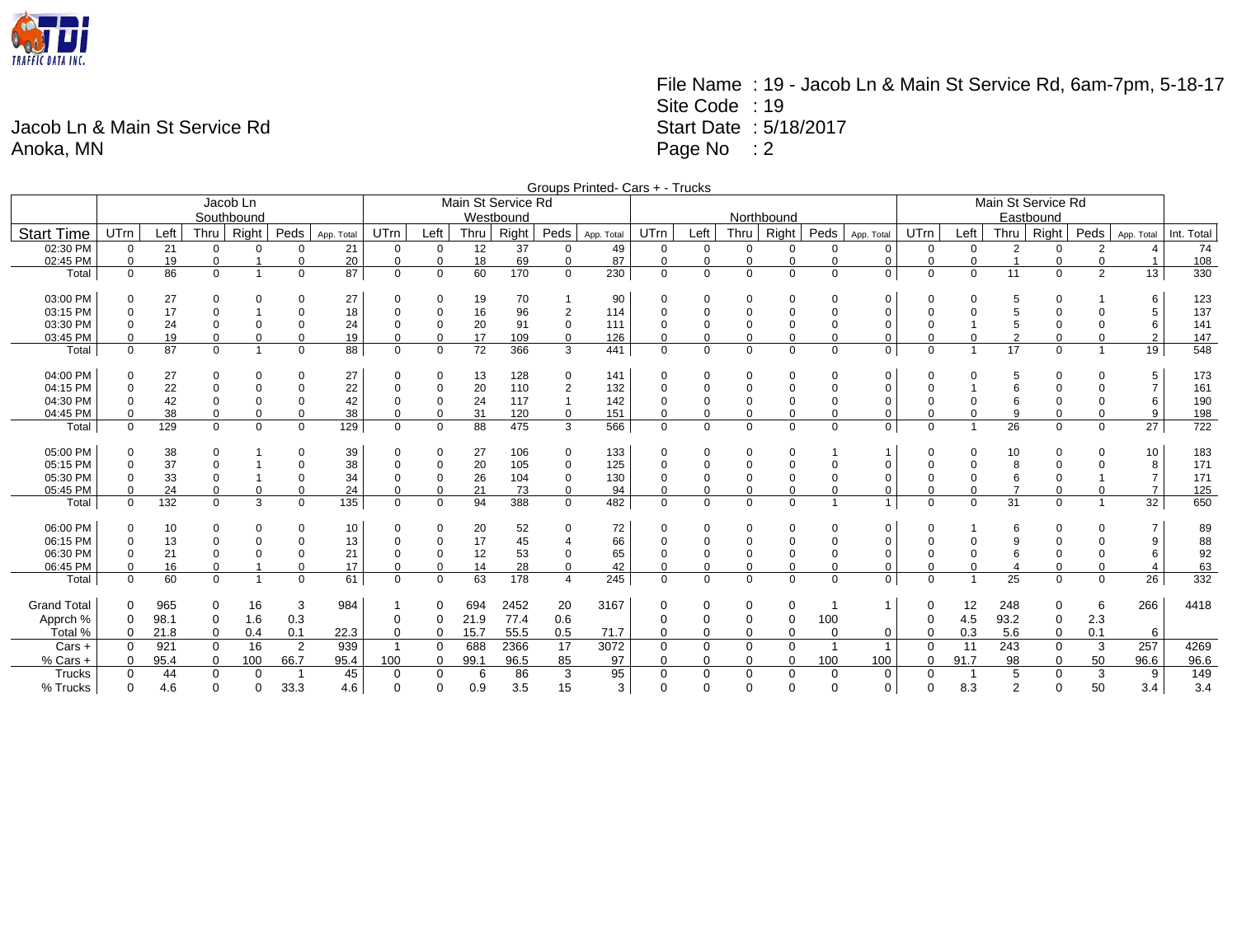

## File Name : 19 - Jacob Ln & Main St Service Rd, 6am-7pm, 5-18-17 Site Code : 19 Start Date : 5/18/2017 Page No : 2

## Jacob Ln & Main St Service Rd Anoka, MN

|                      | Groups Printed- Cars + - Trucks |          |                  |                         |                            |            |                         |                            |          |                    |                            |            |                            |             |                         |                          |                |                             |                      |                |                |                    |                               |                       |            |  |
|----------------------|---------------------------------|----------|------------------|-------------------------|----------------------------|------------|-------------------------|----------------------------|----------|--------------------|----------------------------|------------|----------------------------|-------------|-------------------------|--------------------------|----------------|-----------------------------|----------------------|----------------|----------------|--------------------|-------------------------------|-----------------------|------------|--|
|                      |                                 |          |                  | Jacob Ln                |                            |            |                         |                            |          | Main St Service Rd |                            |            |                            |             |                         |                          |                |                             | Main St Service Rd   |                |                |                    |                               |                       |            |  |
|                      | Southbound                      |          |                  |                         |                            |            |                         | Westbound                  |          |                    |                            |            |                            |             |                         | Northbound               |                |                             |                      |                |                | Eastbound          |                               |                       |            |  |
| <b>Start Time</b>    | <b>UTrn</b>                     | Left     | Thru             | Right                   | Peds                       | App. Total | <b>UTrn</b>             | Left                       | Thru     | Right              | Peds                       | App. Total | UTrn                       | Left        | Thru                    | Right                    | Peds           | App. Total                  | <b>UTrn</b>          | Left           | Thru           | Right <sup>1</sup> | Peds                          | App. Total            | Int. Total |  |
| 02:30 PM             | $\mathbf 0$                     | 21       | $\Omega$         | 0                       | $\Omega$                   | 21         | $\mathbf 0$             | $\Omega$                   | 12       | 37                 | $\Omega$                   | 49         | $\Omega$                   | $\mathbf 0$ | $\mathbf 0$             | $\Omega$                 | $\mathbf 0$    | $\mathbf 0$                 | $\mathbf 0$          | $\mathbf 0$    | $\overline{2}$ | $\Omega$           | 2                             | $\boldsymbol{\Delta}$ | 74         |  |
| 02:45 PM             | $\Omega$                        | 19       | 0                |                         | $\mathbf 0$                | 20         | $\mathbf 0$             | $\Omega$                   | 18       | 69                 | 0                          | 87         | 0                          | 0           | $\mathbf 0$             | $\Omega$                 | $\Omega$       | $\mathbf 0$                 | $\Omega$             | 0              |                | 0                  | $\Omega$                      |                       | 108        |  |
| Total                | $\Omega$                        | 86       | $\Omega$         | $\overline{1}$          | 0                          | 87         | $\mathbf 0$             | $\Omega$                   | 60       | 170                | $\mathbf{0}$               | 230        | $\mathbf 0$                | $\mathbf 0$ | $\mathbf 0$             | $\mathbf 0$              | $\mathbf 0$    | $\mathbf 0$                 | $\mathbf 0$          | $\overline{0}$ | 11             | $\mathbf 0$        | $\overline{2}$                | 13                    | 330        |  |
|                      |                                 |          |                  |                         |                            |            |                         |                            |          |                    |                            |            |                            |             |                         |                          |                |                             |                      |                |                |                    |                               |                       |            |  |
| 03:00 PM             | $\mathbf 0$                     | 27       | $\Omega$         | 0                       | 0                          | 27         | $\mathbf 0$             | $\Omega$                   | 19       | 70                 |                            | 90         | 0                          | $\Omega$    | 0                       | $\mathbf 0$              | $\Omega$       | 0                           | $\Omega$             | 0              | 5              | $\Omega$           |                               | 6                     | 123        |  |
| 03:15 PM             | $\mathbf 0$                     | 17       | $\mathbf 0$      |                         | $\Omega$                   | 18         | $\mathbf 0$             | 0                          | 16       | 96                 | $\overline{2}$             | 114        | 0                          |             | $\mathbf 0$             | $\mathbf 0$              |                | $\mathbf 0$                 |                      | $\mathbf 0$    | 5              | $\Omega$           | $\Omega$                      | 5                     | 137        |  |
| 03:30 PM<br>03:45 PM | $\Omega$<br>$\Omega$            | 24       | $\mathbf 0$<br>0 | $\Omega$<br>$\Omega$    | $\mathbf 0$<br>$\mathbf 0$ | 24<br>19   | $\Omega$<br>$\mathbf 0$ | $\mathbf 0$<br>$\mathbf 0$ | 20<br>17 | 91<br>109          | $\mathbf 0$<br>$\mathbf 0$ | 111<br>126 | $\mathbf 0$<br>$\mathbf 0$ | 0           | $\mathbf 0$<br>$\Omega$ | $\pmb{0}$<br>$\mathbf 0$ | $\Omega$       | $\mathbf 0$<br>$\mathbf 0$  | $\Omega$<br>$\Omega$ | $\mathbf 0$    | 5<br>2         | $\Omega$<br>0      | $\Omega$<br>$\Omega$          | 6<br>$\overline{2}$   | 141<br>147 |  |
| Total                | $\Omega$                        | 19<br>87 | $\Omega$         | $\overline{1}$          | $\mathbf 0$                | 88         | $\Omega$                | $\Omega$                   | 72       | 366                | 3                          | 441        | $\Omega$                   | $\Omega$    | $\Omega$                | $\Omega$                 | $\Omega$       | $\mathbf 0$                 | $\Omega$             |                | 17             | $\Omega$           | $\mathbf{1}$                  | 19                    | 548        |  |
|                      |                                 |          |                  |                         |                            |            |                         |                            |          |                    |                            |            |                            |             |                         |                          |                |                             |                      |                |                |                    |                               |                       |            |  |
| 04:00 PM             | $\Omega$                        | 27       | $\Omega$         | 0                       | 0                          | 27         | 0                       | $\mathbf 0$                | 13       | 128                | 0                          | 141        | 0                          | $\Omega$    | 0                       | $\mathbf 0$              | $\Omega$       | $\mathbf 0$                 | $\Omega$             | 0              | 5              | $\Omega$           | 0                             | 5                     | 173        |  |
| 04:15 PM             | $\Omega$                        | 22       | 0                | 0                       | $\mathbf 0$                | 22         | $\Omega$                | $\mathbf 0$                | 20       | 110                | $\overline{2}$             | 132        | 0                          |             | 0                       | $\mathbf 0$              | 0              | 0                           |                      |                | 6              |                    | 0                             | 7                     | 161        |  |
| 04:30 PM             | $\Omega$                        | 42       | $\mathbf 0$      | 0                       | $\mathbf 0$                | 42         | $\Omega$                | $\mathbf 0$                | 24       | 117                | $\overline{1}$             | 142        | $\mathbf 0$                |             | $\mathbf 0$             | $\overline{0}$           | 0              | $\mathbf 0$                 | $\Omega$             | $\mathbf 0$    |                | $\Omega$           | $\Omega$                      | 6                     | 190        |  |
| 04:45 PM             | $\Omega$                        | 38       | $\Omega$         | $\Omega$                | $\mathbf 0$                | 38         | $\Omega$                | $\Omega$                   | 31       | 120                | $\mathbf 0$                | 151        | $\Omega$                   |             | $\Omega$                | $\Omega$                 | $\Omega$       | $\mathbf 0$                 | $\Omega$             | $\Omega$       | 9              | $\Omega$           | $\Omega$                      | 9                     | 198        |  |
| Total                | $\Omega$                        | 129      | $\Omega$         | $\mathbf 0$             | $\mathbf 0$                | 129        | $\mathbf 0$             | $\Omega$                   | 88       | 475                | 3                          | 566        | $\mathbf 0$                | $\mathbf 0$ | $\mathbf 0$             | $\mathbf 0$              | $\Omega$       | $\mathbf 0$                 | $\Omega$             |                | 26             | $\mathbf 0$        | $\mathbf 0$                   | 27                    | 722        |  |
|                      |                                 |          |                  |                         |                            |            |                         |                            |          |                    |                            |            |                            |             |                         |                          |                |                             |                      |                |                |                    |                               |                       |            |  |
| 05:00 PM             | $\mathbf 0$                     | 38       | $\Omega$         |                         | $\mathbf 0$                | 39         | $\mathbf 0$             | $\mathbf 0$                | 27       | 106                | 0                          | 133        | 0                          | $\Omega$    | 0                       | 0                        |                | $\overline{1}$              | $\Omega$             | 0              | 10             | $\Omega$           | $\Omega$                      | 10                    | 183        |  |
| 05:15 PM             | $\mathbf 0$                     | 37       | 0                |                         | $\mathbf 0$                | 38         | $\overline{0}$          | 0                          | 20       | 105                | 0                          | 125        | 0                          | 0           | $\mathbf 0$             | $\mathbf 0$              | 0              | $\mathbf 0$                 |                      | 0              | 8              | $\Omega$           | $\Omega$                      | 8                     | 171        |  |
| 05:30 PM             | $\mathbf 0$                     | 33       | $\mathbf 0$      |                         | $\mathbf 0$                | 34         | $\overline{0}$          | $\mathbf 0$                | 26       | 104                | $\mathbf 0$                | 130        | $\mathbf 0$                | $\mathbf 0$ | $\mathbf 0$             | $\mathbf 0$              | $\mathbf 0$    | $\mathbf 0$                 | $\Omega$             | $\mathbf 0$    | 6              | $\Omega$           |                               | $\overline{7}$        | 171        |  |
| 05:45 PM             | $\Omega$                        | 24       | 0                | 0                       | $\mathbf 0$                | 24         | $\mathbf 0$             | $\mathbf 0$                | 21       | 73                 | 0                          | 94         | 0                          | 0           | $\mathbf 0$             | $\mathbf 0$              | 0<br>-1        | $\mathbf 0$<br>$\mathbf{1}$ | $\Omega$<br>$\Omega$ | 0              | $\overline{7}$ | 0                  | $\mathbf 0$<br>$\overline{1}$ | $\overline{7}$        | 125        |  |
| Total                | $\Omega$                        | 132      | $\Omega$         | 3                       | $\mathbf 0$                | 135        | $\Omega$                | $\Omega$                   | 94       | 388                | $\Omega$                   | 482        | $\Omega$                   | $\Omega$    | $\Omega$                | $\mathbf 0$              |                |                             |                      | $\Omega$       | 31             | $\Omega$           |                               | 32                    | 650        |  |
| 06:00 PM             | $\mathbf 0$                     | 10       | $\Omega$         | 0                       | 0                          | 10         | 0                       | $\mathbf 0$                | 20       | 52                 | 0                          | 72         |                            | $\Omega$    | 0                       | 0                        | $\Omega$       | $\mathbf 0$                 | $\Omega$             |                | 6              | $\Omega$           | $\Omega$                      | 7                     | 89         |  |
| 06:15 PM             | $\Omega$                        | 13       | $\mathbf 0$      | $\Omega$                | $\Omega$                   | 13         | $\Omega$                | $\mathbf 0$                | 17       | 45                 | $\overline{4}$             | 66         | 0                          |             | $\mathbf 0$             | $\mathbf 0$              |                | $\mathbf 0$                 |                      | $\mathbf 0$    | 9              |                    | $\Omega$                      | 9                     | 88         |  |
| 06:30 PM             | $\Omega$                        | 21       | $\mathbf 0$      | 0                       | $\mathbf 0$                | 21         | $\overline{0}$          | $\mathbf 0$                | 12       | 53                 | 0                          | 65         | $\mathbf 0$                |             | $\mathbf 0$             | $\overline{0}$           |                | $\mathbf 0$                 | $\Omega$             | $\mathbf 0$    |                | $\Omega$           | 0                             | 6                     | 92         |  |
| 06:45 PM             | $\Omega$                        | 16       | $\mathbf 0$      |                         | $\mathbf 0$                | 17         | $\mathbf 0$             | $\Omega$                   | 14       | 28                 | $\mathbf 0$                | 42         | $\Omega$                   |             | $\Omega$                | $\mathbf 0$              | $\Omega$       | $\mathbf 0$                 | $\Omega$             | $\mathbf 0$    |                | $\Omega$           | $\Omega$                      | 4                     | 63         |  |
| Total                | $\mathbf 0$                     | 60       | $\Omega$         | $\overline{\mathbf{1}}$ | $\mathbf 0$                | 61         | $\mathbf 0$             | $\Omega$                   | 63       | 178                | $\overline{4}$             | 245        | $\Omega$                   | $\mathbf 0$ | $\mathbf 0$             | $\mathbf 0$              | $\Omega$       | $\mathbf 0$                 | $\Omega$             |                | 25             | $\mathbf 0$        | $\Omega$                      | 26                    | 332        |  |
|                      |                                 |          |                  |                         |                            |            |                         |                            |          |                    |                            |            |                            |             |                         |                          |                |                             |                      |                |                |                    |                               |                       |            |  |
| <b>Grand Total</b>   | 0                               | 965      | 0                | 16                      | 3                          | 984        |                         | 0                          | 694      | 2452               | 20                         | 3167       | 0                          | 0           | 0                       | 0                        |                | $\mathbf{1}$                | 0                    | 12             | 248            | 0                  | 6                             | 266                   | 4418       |  |
| Apprch %             | $\mathbf 0$                     | 98.1     | 0                | 1.6                     | 0.3                        |            | $\mathbf 0$             | $\mathbf 0$                | 21.9     | 77.4               | 0.6                        |            | $\mathbf 0$                |             | 0                       | $\pmb{0}$                | 100            |                             | 0                    | 4.5            | 93.2           | 0                  | 2.3                           |                       |            |  |
| Total %              | $\Omega$                        | 21.8     | $\mathbf 0$      | 0.4                     | 0.1                        | 22.3       | $\Omega$                | $\mathbf 0$                | 15.7     | 55.5               | 0.5                        | 71.7       | $\Omega$                   | $\Omega$    | $\Omega$                | $\mathbf 0$              | $\Omega$       | $\mathbf 0$                 | $\mathbf 0$          | 0.3            | 5.6            | 0                  | 0.1                           | 6                     |            |  |
| Cars +               | $\Omega$                        | 921      | $\mathbf 0$      | 16                      | $\overline{2}$             | 939        | $\mathbf{1}$            | $\Omega$                   | 688      | 2366               | 17                         | 3072       | $\mathbf 0$                | $\Omega$    | 0                       | $\mathbf 0$              | $\overline{1}$ | $\mathbf{1}$                | $\Omega$             | 11             | 243            | 0                  | 3                             | 257                   | 4269       |  |
| % Cars +             | $\Omega$                        | 95.4     | 0                | 100                     | 66.7                       | 95.4       | 100                     | 0                          | 99.1     | 96.5               | 85                         | 97         | $\mathbf 0$                | 0           | 0                       | 0                        | 100            | 100                         | 0                    | 91.7           | 98             | 0                  | 50                            | 96.6                  | 96.6       |  |
| Trucks               | $\mathbf 0$                     | 44       | $\mathbf 0$      | $\mathbf 0$             |                            | 45         | $\Omega$                | $\Omega$                   | 6        | 86                 | 3                          | 95         | 0                          | $\Omega$    | 0                       | $\mathbf 0$              | $\mathbf 0$    | 0                           | $\mathbf 0$          |                | 5              | 0                  | 3                             | 9                     | 149        |  |
| % Trucks             | $\Omega$                        | 4.6      | $\Omega$         | $\Omega$                | 33.3                       | 4.6        | $\Omega$                | $\Omega$                   | 0.9      | 3.5                | 15                         | 3          | $\Omega$                   | $\Omega$    | $\Omega$                | $\Omega$                 | $\Omega$       | $\mathbf 0$                 | $\Omega$             | 8.3            | $\overline{2}$ | $\Omega$           | 50                            | 3.4                   | 3.4        |  |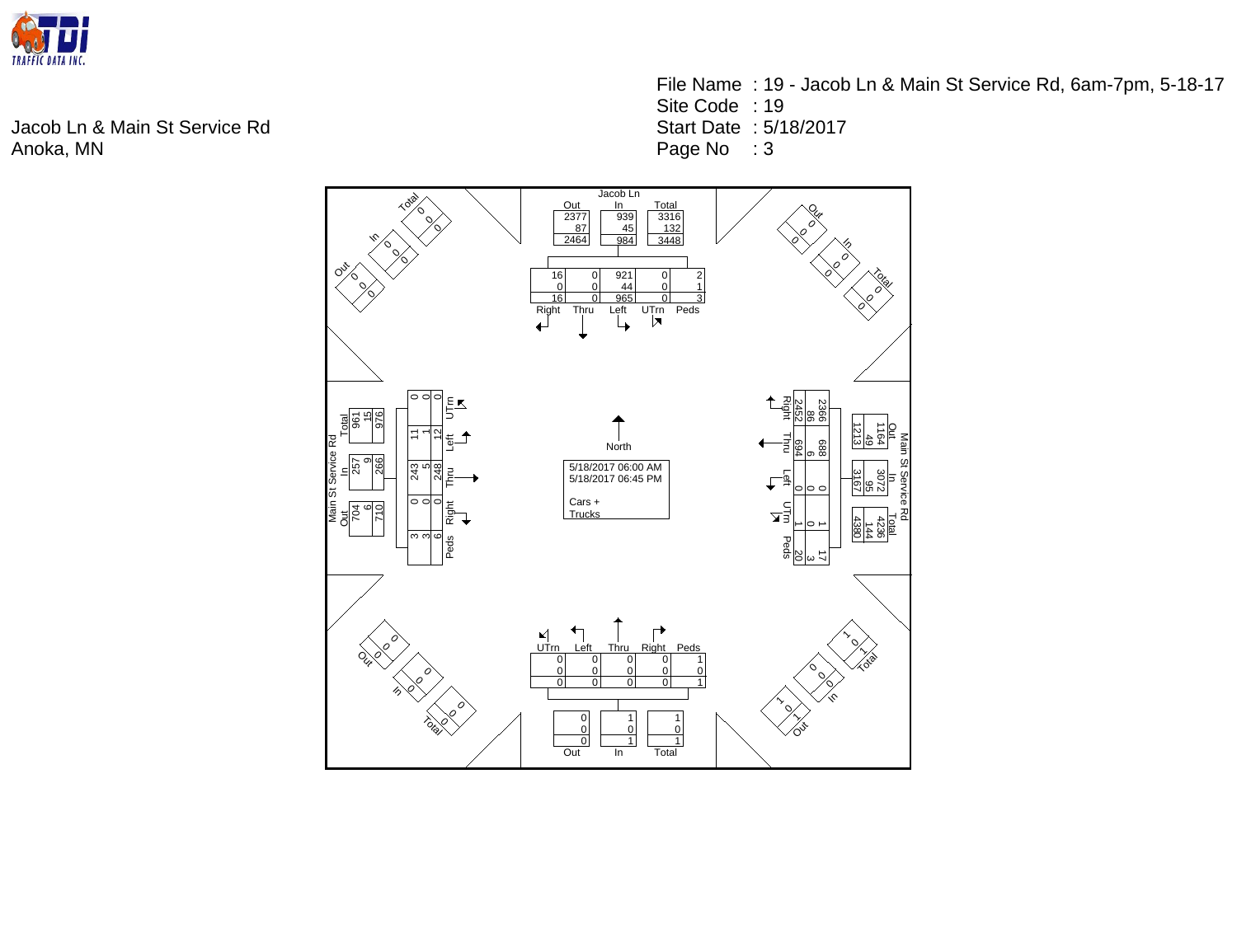

Jacob Ln & Main St Service Rd Anoka, MN

File Name : 19 - Jacob Ln & Main St Service Rd, 6am-7pm, 5-18-17 Site Code : 19 Start Date : 5/18/2017 Page No : 3